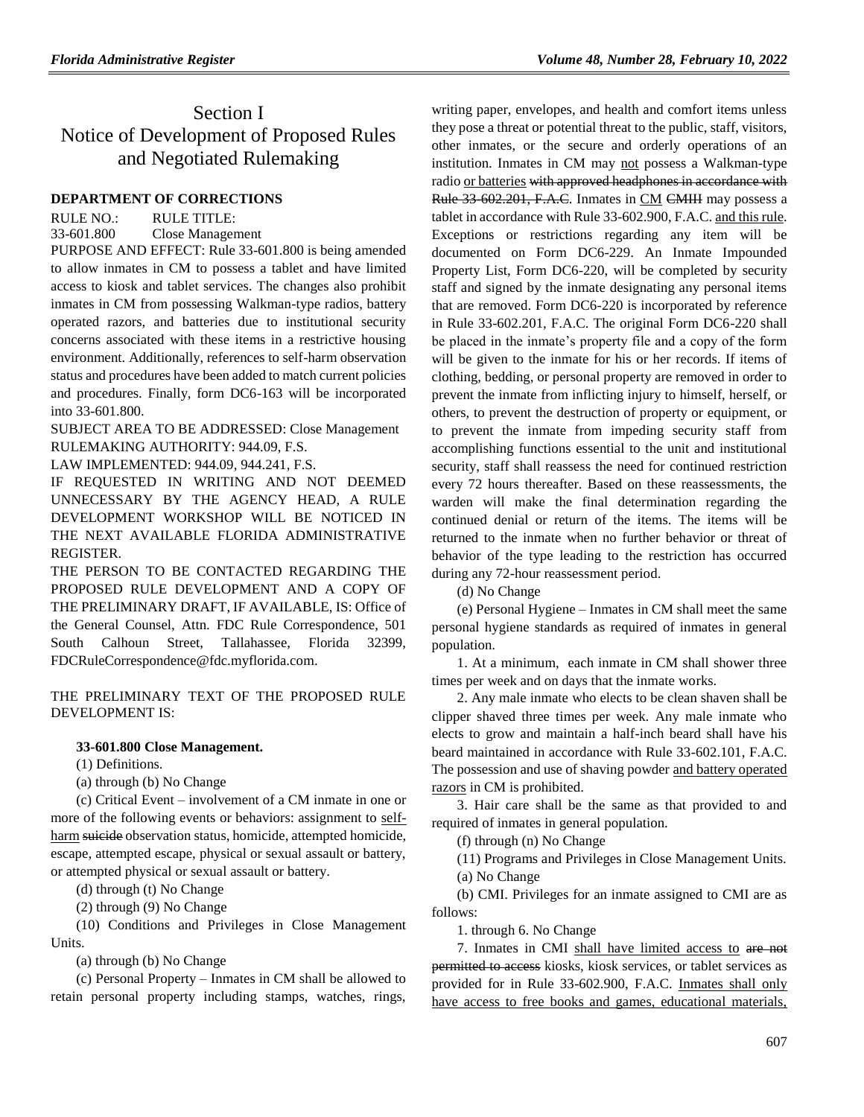# Section I Notice of Development of Proposed Rules and Negotiated Rulemaking

## **[DEPARTMENT OF CORRECTIONS](https://www.flrules.org/gateway/department.asp?id=33)**

RULE NO.: RULE TITLE: [33-601.800](https://www.flrules.org/gateway/ruleNo.asp?id=33-602.201) Close Management

PURPOSE AND EFFECT: Rule 33-601.800 is being amended to allow inmates in CM to possess a tablet and have limited access to kiosk and tablet services. The changes also prohibit inmates in CM from possessing Walkman-type radios, battery operated razors, and batteries due to institutional security concerns associated with these items in a restrictive housing environment. Additionally, references to self-harm observation status and procedures have been added to match current policies and procedures. Finally, form DC6-163 will be incorporated into 33-601.800.

SUBJECT AREA TO BE ADDRESSED: Close Management RULEMAKING AUTHORITY: 944.09, F.S.

LAW IMPLEMENTED: 944.09, 944.241, F.S.

IF REQUESTED IN WRITING AND NOT DEEMED UNNECESSARY BY THE AGENCY HEAD, A RULE DEVELOPMENT WORKSHOP WILL BE NOTICED IN THE NEXT AVAILABLE FLORIDA ADMINISTRATIVE REGISTER.

THE PERSON TO BE CONTACTED REGARDING THE PROPOSED RULE DEVELOPMENT AND A COPY OF THE PRELIMINARY DRAFT, IF AVAILABLE, IS: Office of the General Counsel, Attn. FDC Rule Correspondence, 501 South Calhoun Street, Tallahassee, Florida 32399, FDCRuleCorrespondence@fdc.myflorida.com.

THE PRELIMINARY TEXT OF THE PROPOSED RULE DEVELOPMENT IS:

## **33-601.800 Close Management.**

(1) Definitions.

(a) through (b) No Change

(c) Critical Event – involvement of a CM inmate in one or more of the following events or behaviors: assignment to selfharm suicide observation status, homicide, attempted homicide, escape, attempted escape, physical or sexual assault or battery, or attempted physical or sexual assault or battery.

(d) through (t) No Change

(2) through (9) No Change

(10) Conditions and Privileges in Close Management Units.

(a) through (b) No Change

(c) Personal Property – Inmates in CM shall be allowed to retain personal property including stamps, watches, rings, writing paper, envelopes, and health and comfort items unless they pose a threat or potential threat to the public, staff, visitors, other inmates, or the secure and orderly operations of an institution. Inmates in CM may not possess a Walkman-type radio or batteries with approved headphones in accordance with Rule 33 602.201, F.A.C. Inmates in CM CMIII may possess a tablet in accordance with Rule 33-602.900, F.A.C. and this rule. Exceptions or restrictions regarding any item will be documented on Form DC6-229. An Inmate Impounded Property List, Form DC6-220, will be completed by security staff and signed by the inmate designating any personal items that are removed. Form DC6-220 is incorporated by reference in Rule 33-602.201, F.A.C. The original Form DC6-220 shall be placed in the inmate's property file and a copy of the form will be given to the inmate for his or her records. If items of clothing, bedding, or personal property are removed in order to prevent the inmate from inflicting injury to himself, herself, or others, to prevent the destruction of property or equipment, or to prevent the inmate from impeding security staff from accomplishing functions essential to the unit and institutional security, staff shall reassess the need for continued restriction every 72 hours thereafter. Based on these reassessments, the warden will make the final determination regarding the continued denial or return of the items. The items will be returned to the inmate when no further behavior or threat of behavior of the type leading to the restriction has occurred during any 72-hour reassessment period.

(d) No Change

(e) Personal Hygiene – Inmates in CM shall meet the same personal hygiene standards as required of inmates in general population.

1. At a minimum, each inmate in CM shall shower three times per week and on days that the inmate works.

2. Any male inmate who elects to be clean shaven shall be clipper shaved three times per week. Any male inmate who elects to grow and maintain a half-inch beard shall have his beard maintained in accordance with Rule 33-602.101, F.A.C. The possession and use of shaving powder and battery operated razors in CM is prohibited.

3. Hair care shall be the same as that provided to and required of inmates in general population.

(f) through (n) No Change

(11) Programs and Privileges in Close Management Units. (a) No Change

(b) CMI. Privileges for an inmate assigned to CMI are as follows:

1. through 6. No Change

7. Inmates in CMI shall have limited access to are not permitted to access kiosks, kiosk services, or tablet services as provided for in Rule 33-602.900, F.A.C. Inmates shall only have access to free books and games, educational materials,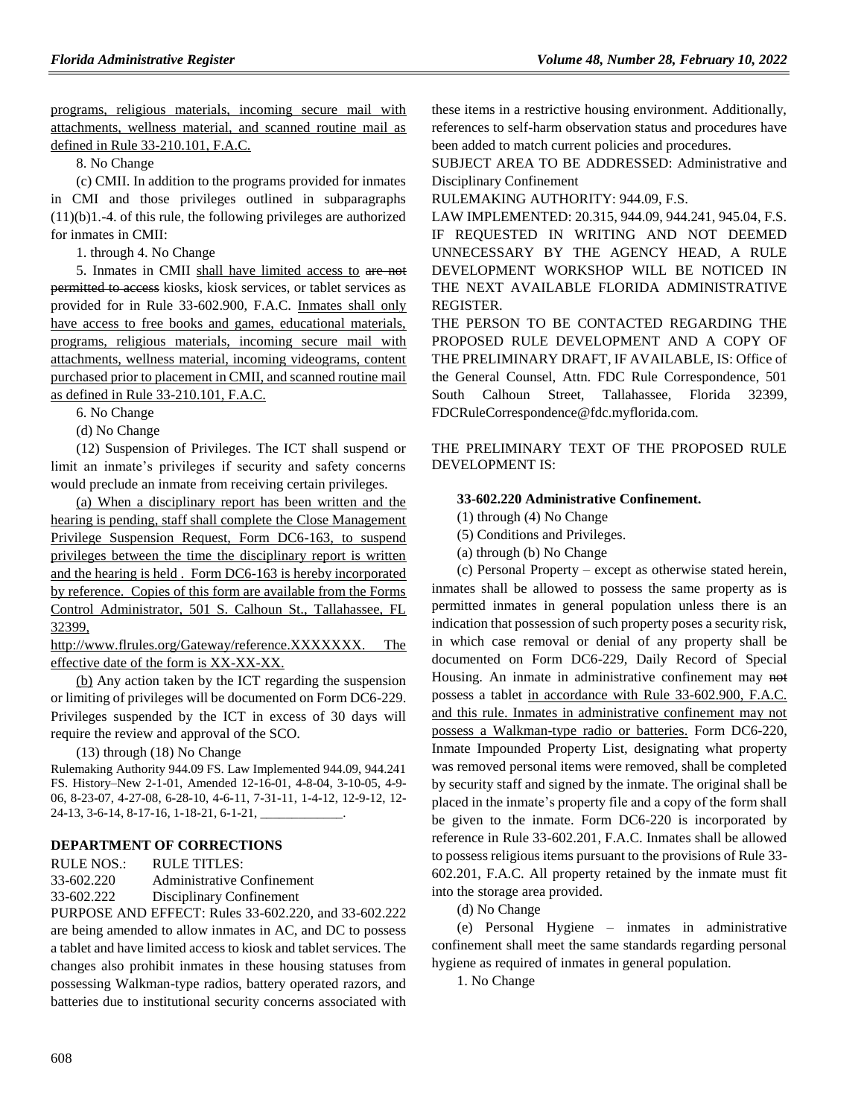programs, religious materials, incoming secure mail with attachments, wellness material, and scanned routine mail as defined in Rule 33-210.101, F.A.C.

8. No Change

(c) CMII. In addition to the programs provided for inmates in CMI and those privileges outlined in subparagraphs (11)(b)1.-4. of this rule, the following privileges are authorized for inmates in CMII:

1. through 4. No Change

5. Inmates in CMII shall have limited access to are not permitted to access kiosks, kiosk services, or tablet services as provided for in Rule 33-602.900, F.A.C. Inmates shall only have access to free books and games, educational materials, programs, religious materials, incoming secure mail with attachments, wellness material, incoming videograms, content purchased prior to placement in CMII, and scanned routine mail as defined in Rule 33-210.101, F.A.C.

6. No Change

(d) No Change

(12) Suspension of Privileges. The ICT shall suspend or limit an inmate's privileges if security and safety concerns would preclude an inmate from receiving certain privileges.

(a) When a disciplinary report has been written and the hearing is pending, staff shall complete the Close Management Privilege Suspension Request, Form DC6-163, to suspend privileges between the time the disciplinary report is written and the hearing is held . Form DC6-163 is hereby incorporated by reference. Copies of this form are available from the Forms Control Administrator, 501 S. Calhoun St., Tallahassee, FL 32399,

http://www.flrules.org/Gateway/reference.XXXXXXX. The effective date of the form is XX-XX-XX.

(b) Any action taken by the ICT regarding the suspension or limiting of privileges will be documented on Form DC6-229. Privileges suspended by the ICT in excess of 30 days will require the review and approval of the SCO.

(13) through (18) No Change

Rulemaking Authority 944.09 FS. Law Implemented 944.09, 944.241 FS. History–New 2-1-01, Amended 12-16-01, 4-8-04, 3-10-05, 4-9- 06, 8-23-07, 4-27-08, 6-28-10, 4-6-11, 7-31-11, 1-4-12, 12-9-12, 12- 24-13, 3-6-14, 8-17-16, 1-18-21, 6-1-21,

## **[DEPARTMENT OF CORRECTIONS](https://www.flrules.org/gateway/department.asp?id=33)**

RULE NOS.: RULE TITLES: [33-602.220](https://www.flrules.org/gateway/ruleNo.asp?id=33-602.201) Administrative Confinement 33-602.222 Disciplinary Confinement

PURPOSE AND EFFECT: Rules 33-602.220, and 33-602.222 are being amended to allow inmates in AC, and DC to possess a tablet and have limited access to kiosk and tablet services. The changes also prohibit inmates in these housing statuses from possessing Walkman-type radios, battery operated razors, and batteries due to institutional security concerns associated with these items in a restrictive housing environment. Additionally, references to self-harm observation status and procedures have been added to match current policies and procedures.

SUBJECT AREA TO BE ADDRESSED: Administrative and Disciplinary Confinement

RULEMAKING AUTHORITY: 944.09, F.S.

LAW IMPLEMENTED: 20.315, 944.09, 944.241, 945.04, F.S. IF REQUESTED IN WRITING AND NOT DEEMED UNNECESSARY BY THE AGENCY HEAD, A RULE DEVELOPMENT WORKSHOP WILL BE NOTICED IN THE NEXT AVAILABLE FLORIDA ADMINISTRATIVE REGISTER.

THE PERSON TO BE CONTACTED REGARDING THE PROPOSED RULE DEVELOPMENT AND A COPY OF THE PRELIMINARY DRAFT, IF AVAILABLE, IS: Office of the General Counsel, Attn. FDC Rule Correspondence, 501 South Calhoun Street, Tallahassee, Florida 32399, FDCRuleCorrespondence@fdc.myflorida.com.

THE PRELIMINARY TEXT OF THE PROPOSED RULE DEVELOPMENT IS:

#### **33-602.220 Administrative Confinement.**

(1) through (4) No Change

(5) Conditions and Privileges.

(a) through (b) No Change

(c) Personal Property – except as otherwise stated herein, inmates shall be allowed to possess the same property as is permitted inmates in general population unless there is an indication that possession of such property poses a security risk, in which case removal or denial of any property shall be documented on Form DC6-229, Daily Record of Special Housing. An inmate in administrative confinement may not possess a tablet in accordance with Rule 33-602.900, F.A.C. and this rule. Inmates in administrative confinement may not possess a Walkman-type radio or batteries. Form DC6-220, Inmate Impounded Property List, designating what property was removed personal items were removed, shall be completed by security staff and signed by the inmate. The original shall be placed in the inmate's property file and a copy of the form shall be given to the inmate. Form DC6-220 is incorporated by reference in Rule 33-602.201, F.A.C. Inmates shall be allowed to possess religious items pursuant to the provisions of Rule 33- 602.201, F.A.C. All property retained by the inmate must fit into the storage area provided.

(d) No Change

(e) Personal Hygiene – inmates in administrative confinement shall meet the same standards regarding personal hygiene as required of inmates in general population.

1. No Change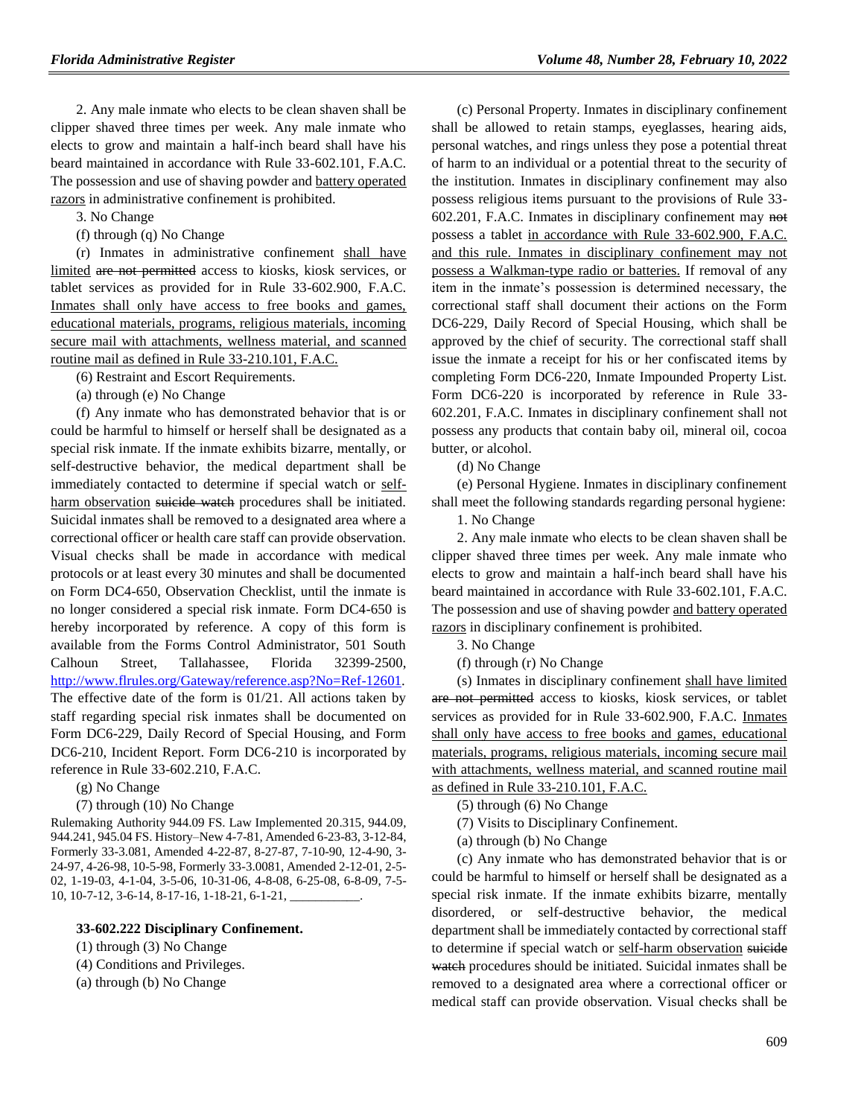2. Any male inmate who elects to be clean shaven shall be clipper shaved three times per week. Any male inmate who elects to grow and maintain a half-inch beard shall have his beard maintained in accordance with Rule 33-602.101, F.A.C. The possession and use of shaving powder and battery operated razors in administrative confinement is prohibited.

3. No Change

(f) through (q) No Change

(r) Inmates in administrative confinement shall have limited are not permitted access to kiosks, kiosk services, or tablet services as provided for in Rule 33-602.900, F.A.C. Inmates shall only have access to free books and games, educational materials, programs, religious materials, incoming secure mail with attachments, wellness material, and scanned routine mail as defined in Rule 33-210.101, F.A.C.

(6) Restraint and Escort Requirements.

(a) through (e) No Change

(f) Any inmate who has demonstrated behavior that is or could be harmful to himself or herself shall be designated as a special risk inmate. If the inmate exhibits bizarre, mentally, or self-destructive behavior, the medical department shall be immediately contacted to determine if special watch or selfharm observation suicide watch procedures shall be initiated. Suicidal inmates shall be removed to a designated area where a correctional officer or health care staff can provide observation. Visual checks shall be made in accordance with medical protocols or at least every 30 minutes and shall be documented on Form DC4-650, Observation Checklist, until the inmate is no longer considered a special risk inmate. Form DC4-650 is hereby incorporated by reference. A copy of this form is available from the Forms Control Administrator, 501 South Calhoun Street, Tallahassee, Florida 32399-2500, [http://www.flrules.org/Gateway/reference.asp?No=Ref-12601.](http://www.flrules.org/Gateway/reference.asp?No=Ref-12601) The effective date of the form is 01/21. All actions taken by staff regarding special risk inmates shall be documented on Form DC6-229, Daily Record of Special Housing, and Form DC6-210, Incident Report. Form DC6-210 is incorporated by reference in Rule 33-602.210, F.A.C.

(g) No Change

(7) through (10) No Change

Rulemaking Authority 944.09 FS. Law Implemented 20.315, 944.09, 944.241, 945.04 FS. History–New 4-7-81, Amended 6-23-83, 3-12-84, Formerly 33-3.081, Amended 4-22-87, 8-27-87, 7-10-90, 12-4-90, 3- 24-97, 4-26-98, 10-5-98, Formerly 33-3.0081, Amended 2-12-01, 2-5- 02, 1-19-03, 4-1-04, 3-5-06, 10-31-06, 4-8-08, 6-25-08, 6-8-09, 7-5- 10, 10-7-12, 3-6-14, 8-17-16, 1-18-21, 6-1-21, \_\_\_\_\_\_\_\_\_\_\_.

#### **33-602.222 Disciplinary Confinement.**

(1) through (3) No Change

(4) Conditions and Privileges.

(a) through (b) No Change

(c) Personal Property. Inmates in disciplinary confinement shall be allowed to retain stamps, eyeglasses, hearing aids, personal watches, and rings unless they pose a potential threat of harm to an individual or a potential threat to the security of the institution. Inmates in disciplinary confinement may also possess religious items pursuant to the provisions of Rule 33- 602.201, F.A.C. Inmates in disciplinary confinement may not possess a tablet in accordance with Rule 33-602.900, F.A.C. and this rule. Inmates in disciplinary confinement may not possess a Walkman-type radio or batteries. If removal of any item in the inmate's possession is determined necessary, the correctional staff shall document their actions on the Form DC6-229, Daily Record of Special Housing, which shall be approved by the chief of security. The correctional staff shall issue the inmate a receipt for his or her confiscated items by completing Form DC6-220, Inmate Impounded Property List. Form DC6-220 is incorporated by reference in Rule 33- 602.201, F.A.C. Inmates in disciplinary confinement shall not possess any products that contain baby oil, mineral oil, cocoa butter, or alcohol.

(d) No Change

(e) Personal Hygiene. Inmates in disciplinary confinement shall meet the following standards regarding personal hygiene:

1. No Change

2. Any male inmate who elects to be clean shaven shall be clipper shaved three times per week. Any male inmate who elects to grow and maintain a half-inch beard shall have his beard maintained in accordance with Rule 33-602.101, F.A.C. The possession and use of shaving powder and battery operated razors in disciplinary confinement is prohibited.

3. No Change

(f) through (r) No Change

(s) Inmates in disciplinary confinement shall have limited are not permitted access to kiosks, kiosk services, or tablet services as provided for in Rule 33-602.900, F.A.C. Inmates shall only have access to free books and games, educational materials, programs, religious materials, incoming secure mail with attachments, wellness material, and scanned routine mail as defined in Rule 33-210.101, F.A.C.

(5) through (6) No Change

(7) Visits to Disciplinary Confinement.

(a) through (b) No Change

(c) Any inmate who has demonstrated behavior that is or could be harmful to himself or herself shall be designated as a special risk inmate. If the inmate exhibits bizarre, mentally disordered, or self-destructive behavior, the medical department shall be immediately contacted by correctional staff to determine if special watch or self-harm observation suicide watch procedures should be initiated. Suicidal inmates shall be removed to a designated area where a correctional officer or medical staff can provide observation. Visual checks shall be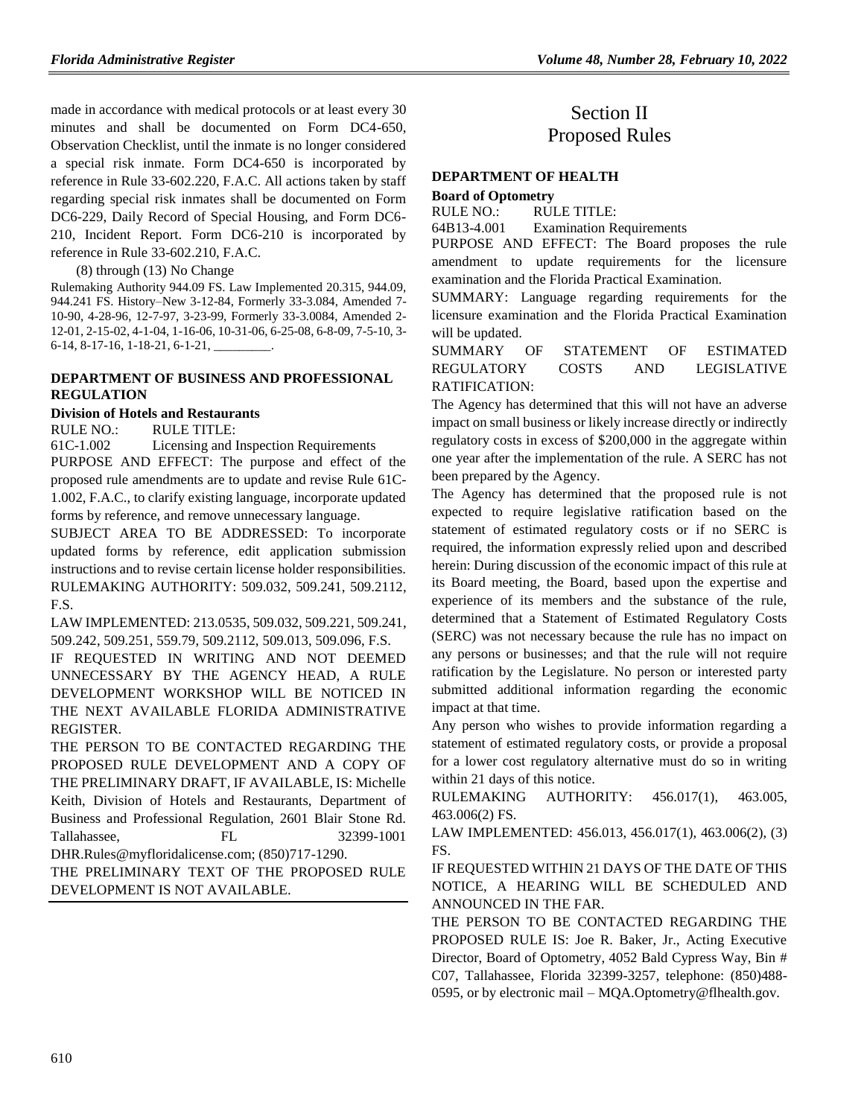made in accordance with medical protocols or at least every 30 minutes and shall be documented on Form DC4-650, Observation Checklist, until the inmate is no longer considered a special risk inmate. Form DC4-650 is incorporated by reference in Rule 33-602.220, F.A.C. All actions taken by staff regarding special risk inmates shall be documented on Form DC6-229, Daily Record of Special Housing, and Form DC6- 210, Incident Report. Form DC6-210 is incorporated by reference in Rule 33-602.210, F.A.C.

(8) through (13) No Change

Rulemaking Authority 944.09 FS. Law Implemented 20.315, 944.09, 944.241 FS. History–New 3-12-84, Formerly 33-3.084, Amended 7- 10-90, 4-28-96, 12-7-97, 3-23-99, Formerly 33-3.0084, Amended 2- 12-01, 2-15-02, 4-1-04, 1-16-06, 10-31-06, 6-25-08, 6-8-09, 7-5-10, 3- 6-14, 8-17-16, 1-18-21, 6-1-21,

#### **[DEPARTMENT OF BUSINESS AND PROFESSIONAL](https://www.flrules.org/gateway/department.asp?id=61)  [REGULATION](https://www.flrules.org/gateway/department.asp?id=61)**

#### **[Division of Hotels and Restaurants](https://www.flrules.org/gateway/organization.asp?id=249)**

RULE NO.: RULE TITLE:

[61C-1.002](https://www.flrules.org/gateway/ruleNo.asp?id=61C-1.002) Licensing and Inspection Requirements PURPOSE AND EFFECT: The purpose and effect of the proposed rule amendments are to update and revise Rule 61C-1.002, F.A.C., to clarify existing language, incorporate updated forms by reference, and remove unnecessary language.

SUBJECT AREA TO BE ADDRESSED: To incorporate updated forms by reference, edit application submission instructions and to revise certain license holder responsibilities. RULEMAKING AUTHORITY: [509.032,](https://www.flrules.org/gateway/statute.asp?id=509.032) [509.241,](https://www.flrules.org/gateway/statute.asp?id=%20509.241) [509.2112,](https://www.flrules.org/gateway/statute.asp?id=%20509.2112) F.S.

LAW IMPLEMENTED[: 213.0535,](https://www.flrules.org/gateway/statute.asp?id=213.0535) [509.032,](https://www.flrules.org/gateway/statute.asp?id=%20509.032) [509.221,](https://www.flrules.org/gateway/statute.asp?id=%20509.221) [509.241,](https://www.flrules.org/gateway/statute.asp?id=%20509.241) [509.242,](https://www.flrules.org/gateway/statute.asp?id=%20509.242) [509.251,](https://www.flrules.org/gateway/statute.asp?id=%20509.251) [559.79,](https://www.flrules.org/gateway/statute.asp?id=%20559.79) [509.2112,](https://www.flrules.org/gateway/statute.asp?id=%20509.2112) [509.013,](https://www.flrules.org/gateway/statute.asp?id=%20509.013) [509.096,](https://www.flrules.org/gateway/statute.asp?id=%20509.096) F.S.

IF REQUESTED IN WRITING AND NOT DEEMED UNNECESSARY BY THE AGENCY HEAD, A RULE DEVELOPMENT WORKSHOP WILL BE NOTICED IN THE NEXT AVAILABLE FLORIDA ADMINISTRATIVE REGISTER.

THE PERSON TO BE CONTACTED REGARDING THE PROPOSED RULE DEVELOPMENT AND A COPY OF THE PRELIMINARY DRAFT, IF AVAILABLE, IS: Michelle Keith, Division of Hotels and Restaurants, Department of Business and Professional Regulation, 2601 Blair Stone Rd. Tallahassee, FL 32399-1001 DHR.Rules@myfloridalicense.com; (850)717-1290.

THE PRELIMINARY TEXT OF THE PROPOSED RULE DEVELOPMENT IS NOT AVAILABLE.

# Section II Proposed Rules

# **[DEPARTMENT OF HEALTH](https://www.flrules.org/gateway/department.asp?id=64)**

## **[Board of Optometry](https://www.flrules.org/gateway/organization.asp?id=304)**

RULE NO.: RULE TITLE:

[64B13-4.001](https://www.flrules.org/gateway/ruleNo.asp?id=64B13-4.001) Examination Requirements

PURPOSE AND EFFECT: The Board proposes the rule amendment to update requirements for the licensure examination and the Florida Practical Examination.

SUMMARY: Language regarding requirements for the licensure examination and the Florida Practical Examination will be updated.

SUMMARY OF STATEMENT OF ESTIMATED REGULATORY COSTS AND LEGISLATIVE RATIFICATION:

The Agency has determined that this will not have an adverse impact on small business or likely increase directly or indirectly regulatory costs in excess of \$200,000 in the aggregate within one year after the implementation of the rule. A SERC has not been prepared by the Agency.

The Agency has determined that the proposed rule is not expected to require legislative ratification based on the statement of estimated regulatory costs or if no SERC is required, the information expressly relied upon and described herein: During discussion of the economic impact of this rule at its Board meeting, the Board, based upon the expertise and experience of its members and the substance of the rule, determined that a Statement of Estimated Regulatory Costs (SERC) was not necessary because the rule has no impact on any persons or businesses; and that the rule will not require ratification by the Legislature. No person or interested party submitted additional information regarding the economic impact at that time.

Any person who wishes to provide information regarding a statement of estimated regulatory costs, or provide a proposal for a lower cost regulatory alternative must do so in writing within 21 days of this notice.

RULEMAKING AUTHORITY: [456.017\(1\),](https://www.flrules.org/gateway/statute.asp?id=456.017(1)) [463.005,](https://www.flrules.org/gateway/statute.asp?id=%20463.005) [463.006\(2\) FS.](https://www.flrules.org/gateway/statute.asp?id=%20463.006(2)%20FS.)

LAW IMPLEMENTED: [456.013,](https://www.flrules.org/gateway/statute.asp?id=456.013) [456.017\(1\),](https://www.flrules.org/gateway/statute.asp?id=%20456.017(1)) [463.006\(2\),](https://www.flrules.org/gateway/statute.asp?id=%20463.006(2)) (3) FS.

IF REQUESTED WITHIN 21 DAYS OF THE DATE OF THIS NOTICE, A HEARING WILL BE SCHEDULED AND ANNOUNCED IN THE FAR.

THE PERSON TO BE CONTACTED REGARDING THE PROPOSED RULE IS: Joe R. Baker, Jr., Acting Executive Director, Board of Optometry, 4052 Bald Cypress Way, Bin # C07, Tallahassee, Florida 32399-3257, telephone: (850)488- 0595, or by electronic mail – MQA.Optometry@flhealth.gov.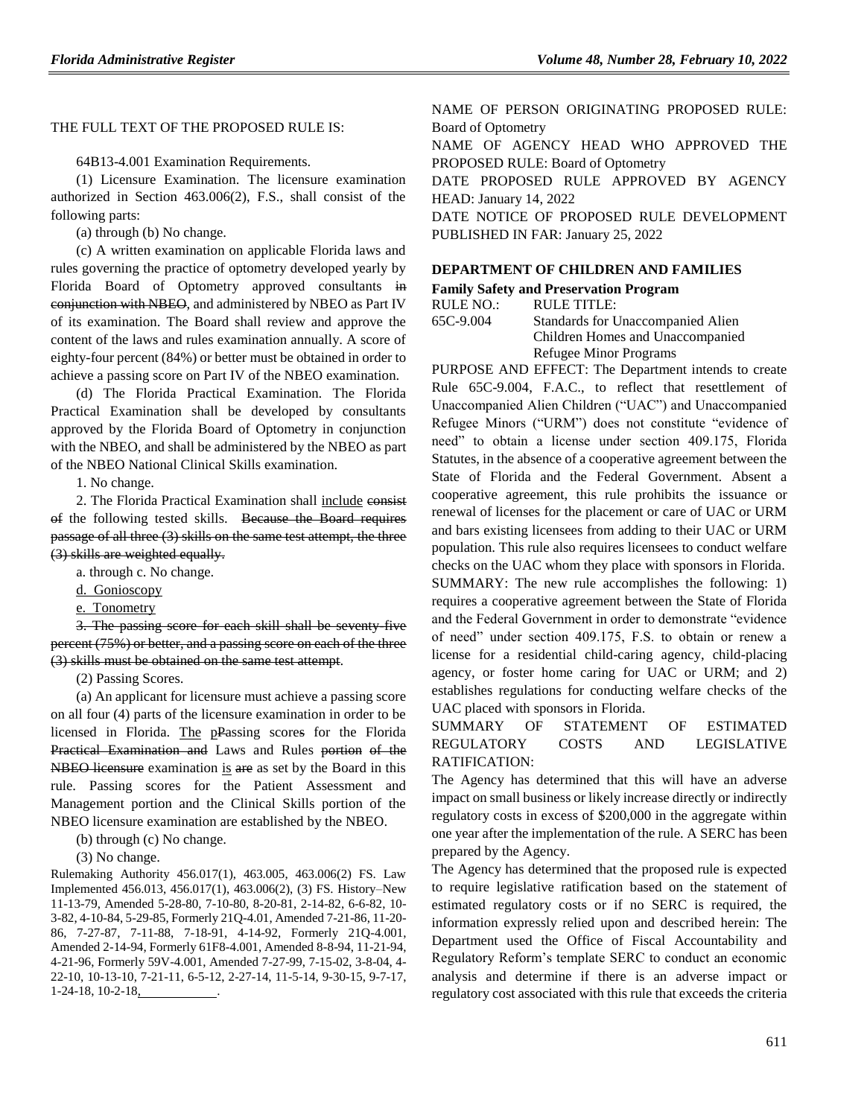## THE FULL TEXT OF THE PROPOSED RULE IS:

64B13-4.001 Examination Requirements.

(1) Licensure Examination. The licensure examination authorized in Section 463.006(2), F.S., shall consist of the following parts:

(a) through (b) No change.

(c) A written examination on applicable Florida laws and rules governing the practice of optometry developed yearly by Florida Board of Optometry approved consultants in conjunction with NBEO, and administered by NBEO as Part IV of its examination. The Board shall review and approve the content of the laws and rules examination annually. A score of eighty-four percent (84%) or better must be obtained in order to achieve a passing score on Part IV of the NBEO examination.

(d) The Florida Practical Examination. The Florida Practical Examination shall be developed by consultants approved by the Florida Board of Optometry in conjunction with the NBEO, and shall be administered by the NBEO as part of the NBEO National Clinical Skills examination.

1. No change.

2. The Florida Practical Examination shall include consist of the following tested skills. Because the Board requires passage of all three (3) skills on the same test attempt, the three (3) skills are weighted equally.

a. through c. No change.

d. Gonioscopy

e. Tonometry

3. The passing score for each skill shall be seventy-five percent (75%) or better, and a passing score on each of the three (3) skills must be obtained on the same test attempt.

(2) Passing Scores.

(a) An applicant for licensure must achieve a passing score on all four (4) parts of the licensure examination in order to be licensed in Florida. The pPassing scores for the Florida Practical Examination and Laws and Rules portion of the NBEO licensure examination is are as set by the Board in this rule. Passing scores for the Patient Assessment and Management portion and the Clinical Skills portion of the NBEO licensure examination are established by the NBEO.

(b) through (c) No change.

(3) No change.

Rulemaking Authority 456.017(1), 463.005, 463.006(2) FS. Law Implemented 456.013, 456.017(1), 463.006(2), (3) FS. History–New 11-13-79, Amended 5-28-80, 7-10-80, 8-20-81, 2-14-82, 6-6-82, 10- 3-82, 4-10-84, 5-29-85, Formerly 21Q-4.01, Amended 7-21-86, 11-20- 86, 7-27-87, 7-11-88, 7-18-91, 4-14-92, Formerly 21Q-4.001, Amended 2-14-94, Formerly 61F8-4.001, Amended 8-8-94, 11-21-94, 4-21-96, Formerly 59V-4.001, Amended 7-27-99, 7-15-02, 3-8-04, 4- 22-10, 10-13-10, 7-21-11, 6-5-12, 2-27-14, 11-5-14, 9-30-15, 9-7-17, 1-24-18, 10-2-18,

NAME OF PERSON ORIGINATING PROPOSED RULE: Board of Optometry

NAME OF AGENCY HEAD WHO APPROVED THE PROPOSED RULE: Board of Optometry

DATE PROPOSED RULE APPROVED BY AGENCY HEAD: January 14, 2022

DATE NOTICE OF PROPOSED RULE DEVELOPMENT PUBLISHED IN FAR: January 25, 2022

#### **[DEPARTMENT OF CHILDREN AND FAMILIES](https://www.flrules.org/gateway/department.asp?id=65)**

**[Family Safety and Preservation Program](https://www.flrules.org/gateway/organization.asp?id=342)**

RULE NO.: RULE TITLE: [65C-9.004](https://www.flrules.org/gateway/ruleNo.asp?id=65C-9.004) Standards for Unaccompanied Alien Children Homes and Unaccompanied Refugee Minor Programs

PURPOSE AND EFFECT: The Department intends to create Rule 65C-9.004, F.A.C., to reflect that resettlement of Unaccompanied Alien Children ("UAC") and Unaccompanied Refugee Minors ("URM") does not constitute "evidence of need" to obtain a license under section 409.175, Florida Statutes, in the absence of a cooperative agreement between the State of Florida and the Federal Government. Absent a cooperative agreement, this rule prohibits the issuance or renewal of licenses for the placement or care of UAC or URM and bars existing licensees from adding to their UAC or URM population. This rule also requires licensees to conduct welfare checks on the UAC whom they place with sponsors in Florida. SUMMARY: The new rule accomplishes the following: 1) requires a cooperative agreement between the State of Florida and the Federal Government in order to demonstrate "evidence of need" under section 409.175, F.S. to obtain or renew a license for a residential child-caring agency, child-placing agency, or foster home caring for UAC or URM; and 2) establishes regulations for conducting welfare checks of the UAC placed with sponsors in Florida.

## SUMMARY OF STATEMENT OF ESTIMATED REGULATORY COSTS AND LEGISLATIVE RATIFICATION:

The Agency has determined that this will have an adverse impact on small business or likely increase directly or indirectly regulatory costs in excess of \$200,000 in the aggregate within one year after the implementation of the rule. A SERC has been prepared by the Agency.

The Agency has determined that the proposed rule is expected to require legislative ratification based on the statement of estimated regulatory costs or if no SERC is required, the information expressly relied upon and described herein: The Department used the Office of Fiscal Accountability and Regulatory Reform's template SERC to conduct an economic analysis and determine if there is an adverse impact or regulatory cost associated with this rule that exceeds the criteria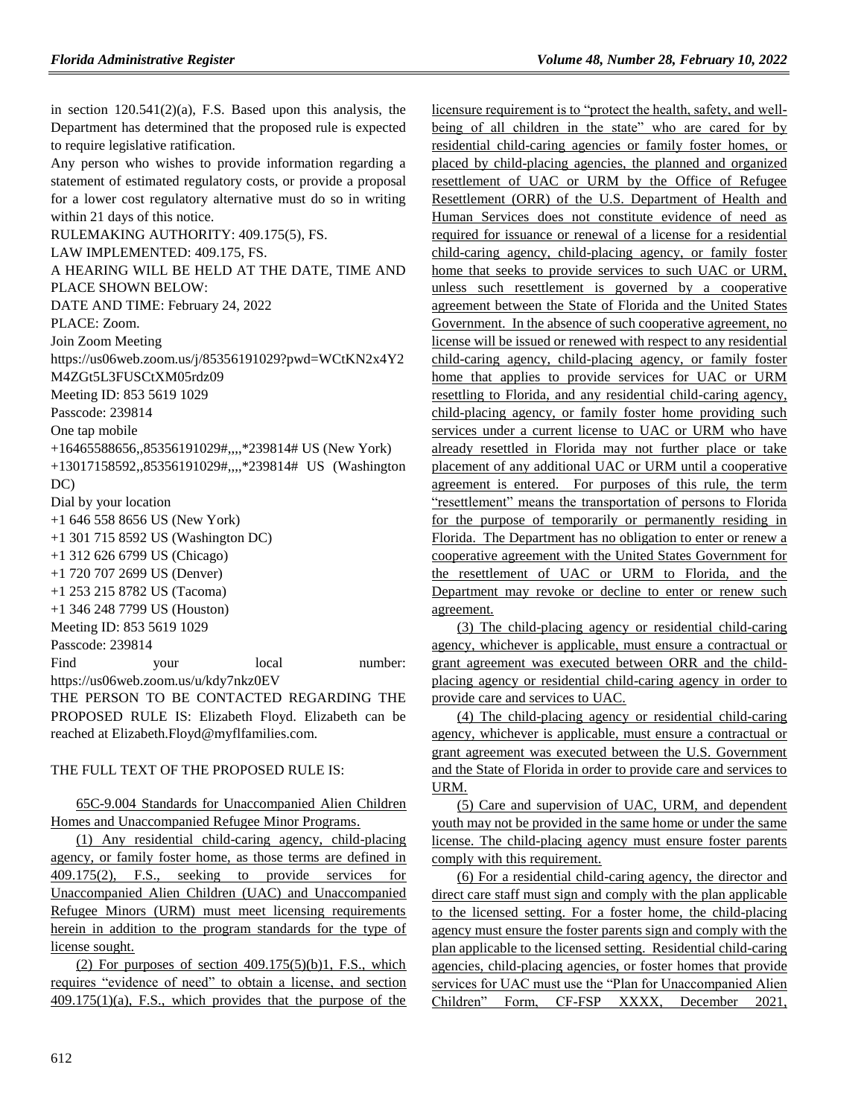in section 120.541(2)(a), F.S. Based upon this analysis, the Department has determined that the proposed rule is expected to require legislative ratification.

Any person who wishes to provide information regarding a statement of estimated regulatory costs, or provide a proposal for a lower cost regulatory alternative must do so in writing within 21 days of this notice.

RULEMAKING AUTHORITY: [409.175\(5\),](https://www.flrules.org/gateway/statute.asp?id=409.175(5)) FS. LAW IMPLEMENTED: [409.175,](https://www.flrules.org/gateway/statute.asp?id=409.175) FS. A HEARING WILL BE HELD AT THE DATE, TIME AND PLACE SHOWN BELOW: DATE AND TIME: February 24, 2022 PLACE: Zoom. Join Zoom Meeting https://us06web.zoom.us/j/85356191029?pwd=WCtKN2x4Y2 M4ZGt5L3FUSCtXM05rdz09 Meeting ID: 853 5619 1029 Passcode: 239814 One tap mobile +16465588656,,85356191029#,,,,\*239814# US (New York) +13017158592,,85356191029#,,,,\*239814# US (Washington DC) Dial by your location +1 646 558 8656 US (New York) +1 301 715 8592 US (Washington DC) +1 312 626 6799 US (Chicago) +1 720 707 2699 US (Denver) +1 253 215 8782 US (Tacoma) +1 346 248 7799 US (Houston) Meeting ID: 853 5619 1029 Passcode: 239814 Find your local number: https://us06web.zoom.us/u/kdy7nkz0EV THE PERSON TO BE CONTACTED REGARDING THE PROPOSED RULE IS: Elizabeth Floyd. Elizabeth can be reached at Elizabeth.Floyd@myflfamilies.com.

## THE FULL TEXT OF THE PROPOSED RULE IS:

## 65C-9.004 Standards for Unaccompanied Alien Children Homes and Unaccompanied Refugee Minor Programs.

(1) Any residential child-caring agency, child-placing agency, or family foster home, as those terms are defined in 409.175(2), F.S., seeking to provide services for Unaccompanied Alien Children (UAC) and Unaccompanied Refugee Minors (URM) must meet licensing requirements herein in addition to the program standards for the type of license sought.

(2) For purposes of section  $409.175(5)(b)1$ , F.S., which requires "evidence of need" to obtain a license, and section 409.175(1)(a), F.S., which provides that the purpose of the licensure requirement is to "protect the health, safety, and wellbeing of all children in the state" who are cared for by residential child-caring agencies or family foster homes, or placed by child-placing agencies, the planned and organized resettlement of UAC or URM by the Office of Refugee Resettlement (ORR) of the U.S. Department of Health and Human Services does not constitute evidence of need as required for issuance or renewal of a license for a residential child-caring agency, child-placing agency, or family foster home that seeks to provide services to such UAC or URM, unless such resettlement is governed by a cooperative agreement between the State of Florida and the United States Government. In the absence of such cooperative agreement, no license will be issued or renewed with respect to any residential child-caring agency, child-placing agency, or family foster home that applies to provide services for UAC or URM resettling to Florida, and any residential child-caring agency, child-placing agency, or family foster home providing such services under a current license to UAC or URM who have already resettled in Florida may not further place or take placement of any additional UAC or URM until a cooperative agreement is entered. For purposes of this rule, the term "resettlement" means the transportation of persons to Florida for the purpose of temporarily or permanently residing in Florida. The Department has no obligation to enter or renew a cooperative agreement with the United States Government for the resettlement of UAC or URM to Florida, and the Department may revoke or decline to enter or renew such agreement.

(3) The child-placing agency or residential child-caring agency, whichever is applicable, must ensure a contractual or grant agreement was executed between ORR and the childplacing agency or residential child-caring agency in order to provide care and services to UAC.

(4) The child-placing agency or residential child-caring agency, whichever is applicable, must ensure a contractual or grant agreement was executed between the U.S. Government and the State of Florida in order to provide care and services to URM.

(5) Care and supervision of UAC, URM, and dependent youth may not be provided in the same home or under the same license. The child-placing agency must ensure foster parents comply with this requirement.

(6) For a residential child-caring agency, the director and direct care staff must sign and comply with the plan applicable to the licensed setting. For a foster home, the child-placing agency must ensure the foster parents sign and comply with the plan applicable to the licensed setting. Residential child-caring agencies, child-placing agencies, or foster homes that provide services for UAC must use the "Plan for Unaccompanied Alien Children" Form, CF-FSP XXXX, December 2021,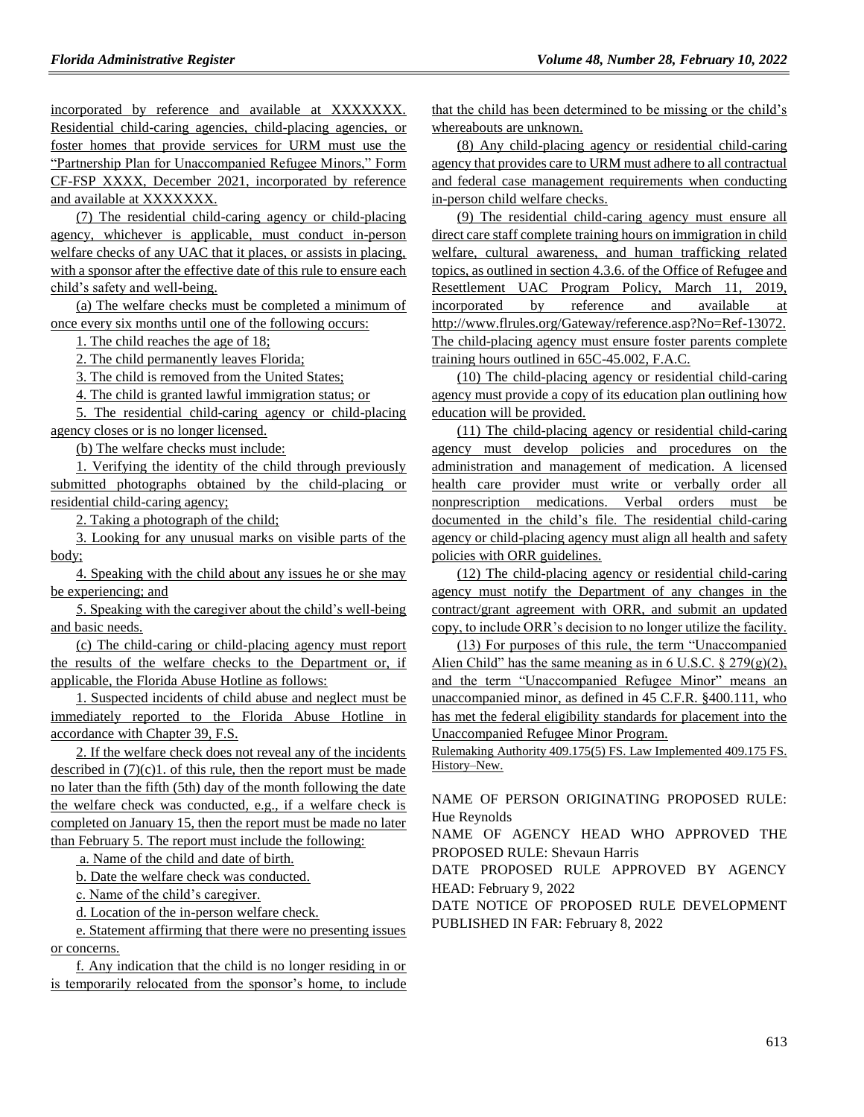incorporated by reference and available at XXXXXXX. Residential child-caring agencies, child-placing agencies, or foster homes that provide services for URM must use the "Partnership Plan for Unaccompanied Refugee Minors," Form CF-FSP XXXX, December 2021, incorporated by reference and available at XXXXXXX.

(7) The residential child-caring agency or child-placing agency, whichever is applicable, must conduct in-person welfare checks of any UAC that it places, or assists in placing, with a sponsor after the effective date of this rule to ensure each child's safety and well-being.

(a) The welfare checks must be completed a minimum of once every six months until one of the following occurs:

1. The child reaches the age of 18;

2. The child permanently leaves Florida;

3. The child is removed from the United States;

4. The child is granted lawful immigration status; or

5. The residential child-caring agency or child-placing agency closes or is no longer licensed.

(b) The welfare checks must include:

1. Verifying the identity of the child through previously submitted photographs obtained by the child-placing or residential child-caring agency;

2. Taking a photograph of the child;

3. Looking for any unusual marks on visible parts of the body;

4. Speaking with the child about any issues he or she may be experiencing; and

5. Speaking with the caregiver about the child's well-being and basic needs.

(c) The child-caring or child-placing agency must report the results of the welfare checks to the Department or, if applicable, the Florida Abuse Hotline as follows:

1. Suspected incidents of child abuse and neglect must be immediately reported to the Florida Abuse Hotline in accordance with Chapter 39, F.S.

2. If the welfare check does not reveal any of the incidents described in  $(7)(c)1$ . of this rule, then the report must be made no later than the fifth (5th) day of the month following the date the welfare check was conducted, e.g., if a welfare check is completed on January 15, then the report must be made no later than February 5. The report must include the following:

a. Name of the child and date of birth.

b. Date the welfare check was conducted.

c. Name of the child's caregiver.

d. Location of the in-person welfare check.

e. Statement affirming that there were no presenting issues or concerns.

f. Any indication that the child is no longer residing in or is temporarily relocated from the sponsor's home, to include that the child has been determined to be missing or the child's whereabouts are unknown.

(8) Any child-placing agency or residential child-caring agency that provides care to URM must adhere to all contractual and federal case management requirements when conducting in-person child welfare checks.

(9) The residential child-caring agency must ensure all direct care staff complete training hours on immigration in child welfare, cultural awareness, and human trafficking related topics, as outlined in section 4.3.6. of the Office of Refugee and Resettlement UAC Program Policy, March 11, 2019, incorporated by reference and available at http://www.flrules.org/Gateway/reference.asp?No=Ref-13072. The child-placing agency must ensure foster parents complete training hours outlined in 65C-45.002, F.A.C.

(10) The child-placing agency or residential child-caring agency must provide a copy of its education plan outlining how education will be provided.

(11) The child-placing agency or residential child-caring agency must develop policies and procedures on the administration and management of medication. A licensed health care provider must write or verbally order all nonprescription medications. Verbal orders must be documented in the child's file. The residential child-caring agency or child-placing agency must align all health and safety policies with ORR guidelines.

(12) The child-placing agency or residential child-caring agency must notify the Department of any changes in the contract/grant agreement with ORR, and submit an updated copy, to include ORR's decision to no longer utilize the facility.

(13) For purposes of this rule, the term "Unaccompanied Alien Child" has the same meaning as in 6 U.S.C.  $\S 279(g)(2)$ , and the term "Unaccompanied Refugee Minor" means an unaccompanied minor, as defined in 45 C.F.R. §400.111, who has met the federal eligibility standards for placement into the Unaccompanied Refugee Minor Program.

Rulemaking Authority 409.175(5) FS. Law Implemented 409.175 FS. History–New.

NAME OF PERSON ORIGINATING PROPOSED RULE: Hue Reynolds

NAME OF AGENCY HEAD WHO APPROVED THE PROPOSED RULE: Shevaun Harris

DATE PROPOSED RULE APPROVED BY AGENCY HEAD: February 9, 2022

DATE NOTICE OF PROPOSED RULE DEVELOPMENT PUBLISHED IN FAR: February 8, 2022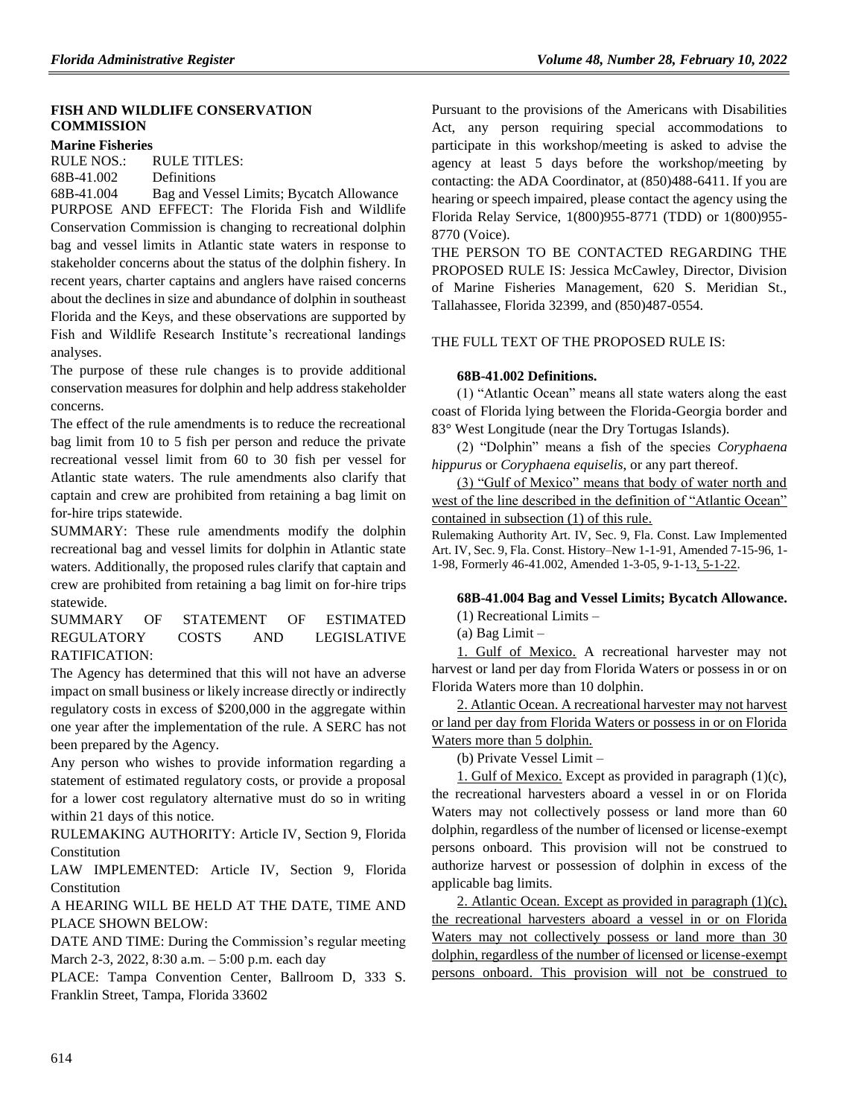## **[FISH AND WILDLIFE CONSERVATION](https://www.flrules.org/gateway/department.asp?id=68)  [COMMISSION](https://www.flrules.org/gateway/department.asp?id=68)**

#### **[Marine Fisheries](https://www.flrules.org/gateway/organization.asp?id=348)**

RULE NOS.: RULE TITLES: [68B-41.002](https://www.flrules.org/gateway/ruleNo.asp?id=68B-41.002) Definitions

[68B-41.004](https://www.flrules.org/gateway/ruleNo.asp?id=68B-41.004) Bag and Vessel Limits; Bycatch Allowance PURPOSE AND EFFECT: The Florida Fish and Wildlife Conservation Commission is changing to recreational dolphin bag and vessel limits in Atlantic state waters in response to stakeholder concerns about the status of the dolphin fishery. In recent years, charter captains and anglers have raised concerns about the declines in size and abundance of dolphin in southeast Florida and the Keys, and these observations are supported by Fish and Wildlife Research Institute's recreational landings analyses.

The purpose of these rule changes is to provide additional conservation measures for dolphin and help address stakeholder concerns.

The effect of the rule amendments is to reduce the recreational bag limit from 10 to 5 fish per person and reduce the private recreational vessel limit from 60 to 30 fish per vessel for Atlantic state waters. The rule amendments also clarify that captain and crew are prohibited from retaining a bag limit on for-hire trips statewide.

SUMMARY: These rule amendments modify the dolphin recreational bag and vessel limits for dolphin in Atlantic state waters. Additionally, the proposed rules clarify that captain and crew are prohibited from retaining a bag limit on for-hire trips statewide.

SUMMARY OF STATEMENT OF ESTIMATED REGULATORY COSTS AND LEGISLATIVE RATIFICATION:

The Agency has determined that this will not have an adverse impact on small business or likely increase directly or indirectly regulatory costs in excess of \$200,000 in the aggregate within one year after the implementation of the rule. A SERC has not been prepared by the Agency.

Any person who wishes to provide information regarding a statement of estimated regulatory costs, or provide a proposal for a lower cost regulatory alternative must do so in writing within 21 days of this notice.

RULEMAKING AUTHORITY: [Article IV, Section 9, Florida](https://www.flrules.org/gateway/flconstitution.asp?id=Article%20IV,%20Section%209,%20Florida%20Constitution)  [Constitution](https://www.flrules.org/gateway/flconstitution.asp?id=Article%20IV,%20Section%209,%20Florida%20Constitution)

LAW IMPLEMENTED: [Article IV, Section 9, Florida](https://www.flrules.org/gateway/flconstitution.asp?id=Article%20IV,%20Section%209,%20Florida%20Constitution)  [Constitution](https://www.flrules.org/gateway/flconstitution.asp?id=Article%20IV,%20Section%209,%20Florida%20Constitution)

A HEARING WILL BE HELD AT THE DATE, TIME AND PLACE SHOWN BELOW:

DATE AND TIME: During the Commission's regular meeting March 2-3, 2022, 8:30 a.m. – 5:00 p.m. each day

PLACE: Tampa Convention Center, Ballroom D, 333 S. Franklin Street, Tampa, Florida 33602

Pursuant to the provisions of the Americans with Disabilities Act, any person requiring special accommodations to participate in this workshop/meeting is asked to advise the agency at least 5 days before the workshop/meeting by contacting: the ADA Coordinator, at (850)488-6411. If you are hearing or speech impaired, please contact the agency using the Florida Relay Service, 1(800)955-8771 (TDD) or 1(800)955- 8770 (Voice).

THE PERSON TO BE CONTACTED REGARDING THE PROPOSED RULE IS: Jessica McCawley, Director, Division of Marine Fisheries Management, 620 S. Meridian St., Tallahassee, Florida 32399, and (850)487-0554.

## THE FULL TEXT OF THE PROPOSED RULE IS:

### **68B-41.002 Definitions.**

(1) "Atlantic Ocean" means all state waters along the east coast of Florida lying between the Florida-Georgia border and 83° West Longitude (near the Dry Tortugas Islands).

(2) "Dolphin" means a fish of the species *Coryphaena hippurus* or *Coryphaena equiselis*, or any part thereof.

(3) "Gulf of Mexico" means that body of water north and west of the line described in the definition of "Atlantic Ocean" contained in subsection (1) of this rule.

Rulemaking Authority Art. IV, Sec. 9, Fla. Const. Law Implemented Art. IV, Sec. 9, Fla. Const. History–New 1-1-91, Amended 7-15-96, 1- 1-98, Formerly 46-41.002, Amended 1-3-05, 9-1-13, 5-1-22.

#### **68B-41.004 Bag and Vessel Limits; Bycatch Allowance.**

(1) Recreational Limits –

(a) Bag Limit –

1. Gulf of Mexico. A recreational harvester may not harvest or land per day from Florida Waters or possess in or on Florida Waters more than 10 dolphin.

2. Atlantic Ocean. A recreational harvester may not harvest or land per day from Florida Waters or possess in or on Florida Waters more than 5 dolphin.

(b) Private Vessel Limit –

1. Gulf of Mexico. Except as provided in paragraph (1)(c), the recreational harvesters aboard a vessel in or on Florida Waters may not collectively possess or land more than 60 dolphin, regardless of the number of licensed or license-exempt persons onboard. This provision will not be construed to authorize harvest or possession of dolphin in excess of the applicable bag limits.

2. Atlantic Ocean. Except as provided in paragraph (1)(c), the recreational harvesters aboard a vessel in or on Florida Waters may not collectively possess or land more than 30 dolphin, regardless of the number of licensed or license-exempt persons onboard. This provision will not be construed to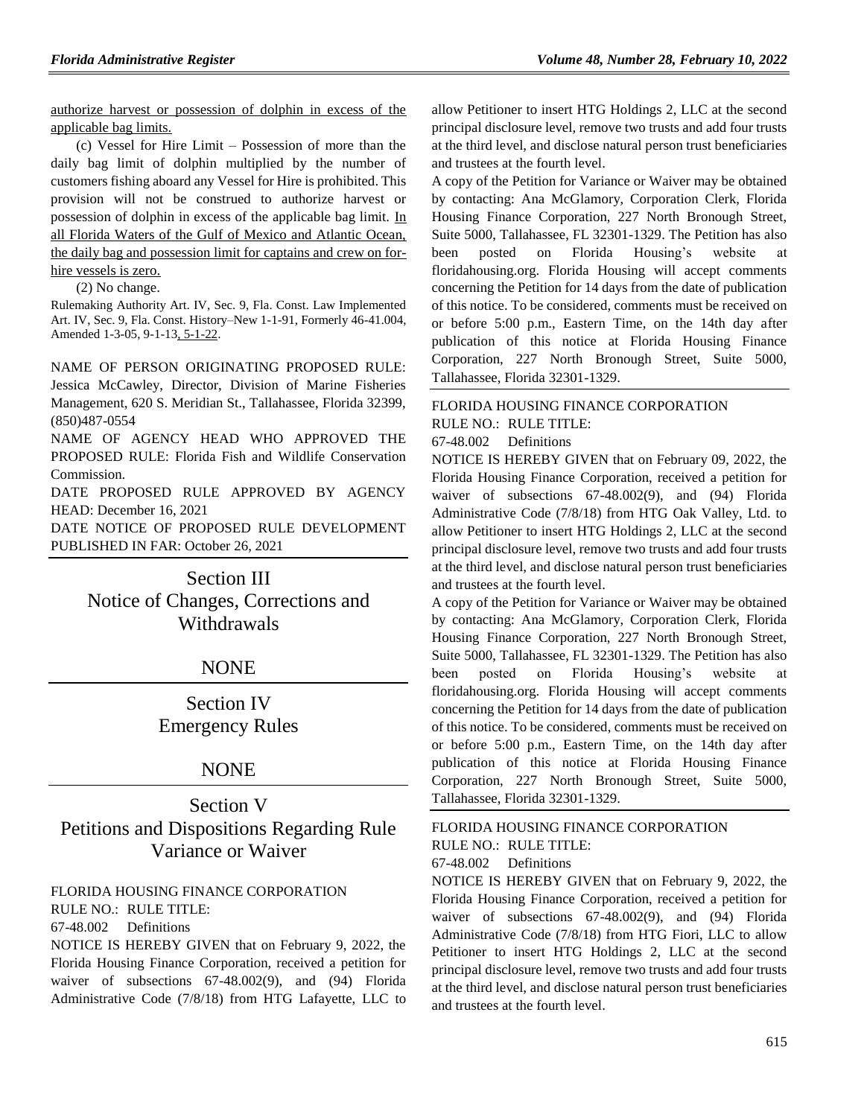authorize harvest or possession of dolphin in excess of the applicable bag limits.

(c) Vessel for Hire Limit – Possession of more than the daily bag limit of dolphin multiplied by the number of customers fishing aboard any Vessel for Hire is prohibited. This provision will not be construed to authorize harvest or possession of dolphin in excess of the applicable bag limit. In all Florida Waters of the Gulf of Mexico and Atlantic Ocean, the daily bag and possession limit for captains and crew on forhire vessels is zero.

#### (2) No change.

Rulemaking Authority Art. IV, Sec. 9, Fla. Const. Law Implemented Art. IV, Sec. 9, Fla. Const. History–New 1-1-91, Formerly 46-41.004, Amended 1-3-05, 9-1-13, 5-1-22.

NAME OF PERSON ORIGINATING PROPOSED RULE:

Jessica McCawley, Director, Division of Marine Fisheries Management, 620 S. Meridian St., Tallahassee, Florida 32399, (850)487-0554

NAME OF AGENCY HEAD WHO APPROVED THE PROPOSED RULE: Florida Fish and Wildlife Conservation Commission.

DATE PROPOSED RULE APPROVED BY AGENCY HEAD: December 16, 2021

DATE NOTICE OF PROPOSED RULE DEVELOPMENT PUBLISHED IN FAR: October 26, 2021

> Section III Notice of Changes, Corrections and Withdrawals

## NONE

Section IV Emergency Rules

## NONE

Section V Petitions and Dispositions Regarding Rule Variance or Waiver

## [FLORIDA HOUSING FINANCE CORPORATION](https://www.flrules.org/gateway/department.asp?id=67)

RULE NO.: RULE TITLE:

[67-48.002](https://www.flrules.org/gateway/ruleNo.asp?id=67-48.002) Definitions

NOTICE IS HEREBY GIVEN that on February 9, 2022, the Florida Housing Finance Corporation, received a petition for waiver of subsections 67-48.002(9), and (94) Florida Administrative Code (7/8/18) from HTG Lafayette, LLC to

allow Petitioner to insert HTG Holdings 2, LLC at the second principal disclosure level, remove two trusts and add four trusts at the third level, and disclose natural person trust beneficiaries and trustees at the fourth level.

A copy of the Petition for Variance or Waiver may be obtained by contacting: Ana McGlamory, Corporation Clerk, Florida Housing Finance Corporation, 227 North Bronough Street, Suite 5000, Tallahassee, FL 32301-1329. The Petition has also been posted on Florida Housing's website at floridahousing.org. Florida Housing will accept comments concerning the Petition for 14 days from the date of publication of this notice. To be considered, comments must be received on or before 5:00 p.m., Eastern Time, on the 14th day after publication of this notice at Florida Housing Finance Corporation, 227 North Bronough Street, Suite 5000, Tallahassee, Florida 32301-1329.

## [FLORIDA HOUSING FINANCE CORPORATION](https://www.flrules.org/gateway/department.asp?id=67)

RULE NO.: RULE TITLE:

[67-48.002](https://www.flrules.org/gateway/ruleNo.asp?id=67-48.002) Definitions

NOTICE IS HEREBY GIVEN that on February 09, 2022, the Florida Housing Finance Corporation, received a petition for waiver of subsections 67-48.002(9), and (94) Florida Administrative Code (7/8/18) from HTG Oak Valley, Ltd. to allow Petitioner to insert HTG Holdings 2, LLC at the second principal disclosure level, remove two trusts and add four trusts at the third level, and disclose natural person trust beneficiaries and trustees at the fourth level.

A copy of the Petition for Variance or Waiver may be obtained by contacting: Ana McGlamory, Corporation Clerk, Florida Housing Finance Corporation, 227 North Bronough Street, Suite 5000, Tallahassee, FL 32301-1329. The Petition has also been posted on Florida Housing's website at floridahousing.org. Florida Housing will accept comments concerning the Petition for 14 days from the date of publication of this notice. To be considered, comments must be received on or before 5:00 p.m., Eastern Time, on the 14th day after publication of this notice at Florida Housing Finance Corporation, 227 North Bronough Street, Suite 5000, Tallahassee, Florida 32301-1329.

[FLORIDA HOUSING FINANCE CORPORATION](https://www.flrules.org/gateway/department.asp?id=67) RULE NO.: RULE TITLE:

[67-48.002](https://www.flrules.org/gateway/ruleNo.asp?id=67-48.002) Definitions

NOTICE IS HEREBY GIVEN that on February 9, 2022, the Florida Housing Finance Corporation, received a petition for waiver of subsections 67-48.002(9), and (94) Florida Administrative Code (7/8/18) from HTG Fiori, LLC to allow Petitioner to insert HTG Holdings 2, LLC at the second principal disclosure level, remove two trusts and add four trusts at the third level, and disclose natural person trust beneficiaries and trustees at the fourth level.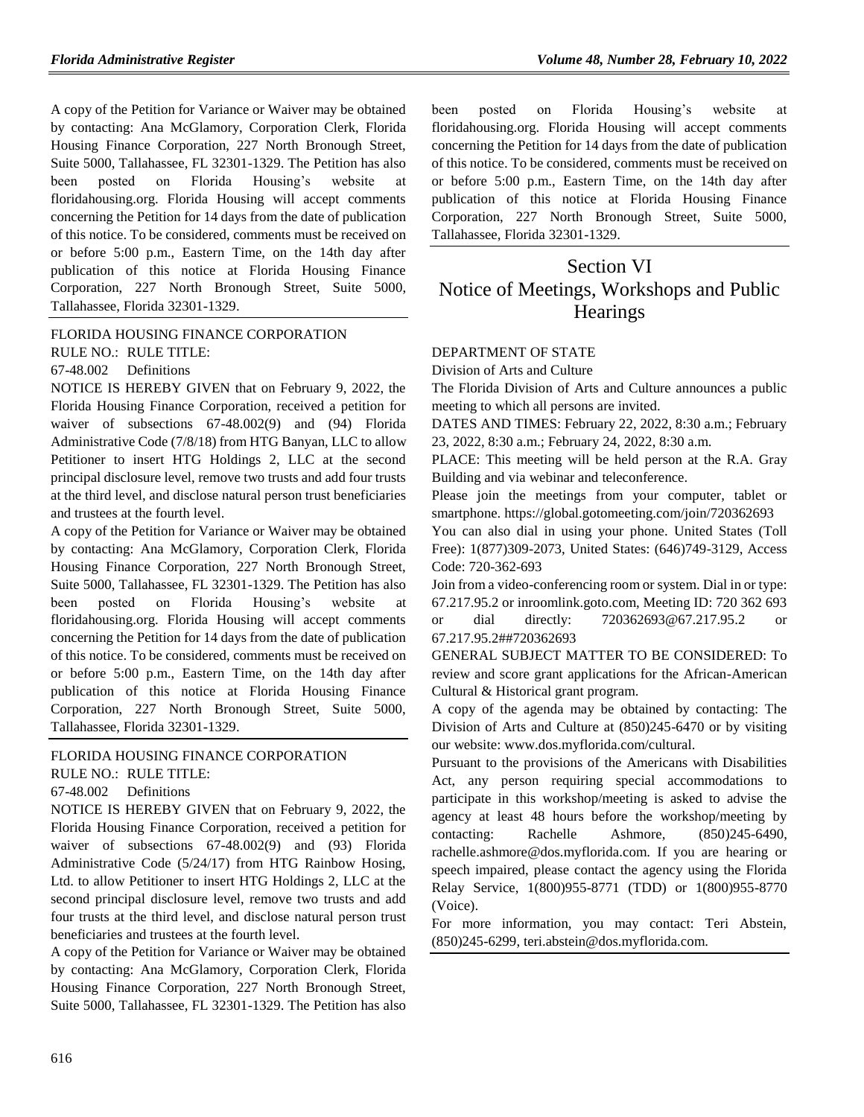A copy of the Petition for Variance or Waiver may be obtained by contacting: Ana McGlamory, Corporation Clerk, Florida Housing Finance Corporation, 227 North Bronough Street, Suite 5000, Tallahassee, FL 32301-1329. The Petition has also been posted on Florida Housing's website at floridahousing.org. Florida Housing will accept comments concerning the Petition for 14 days from the date of publication of this notice. To be considered, comments must be received on or before 5:00 p.m., Eastern Time, on the 14th day after publication of this notice at Florida Housing Finance Corporation, 227 North Bronough Street, Suite 5000, Tallahassee, Florida 32301-1329.

[FLORIDA HOUSING FINANCE CORPORATION](https://www.flrules.org/gateway/department.asp?id=67) RULE NO.: RULE TITLE:

[67-48.002](https://www.flrules.org/gateway/ruleNo.asp?id=67-48.002) Definitions

NOTICE IS HEREBY GIVEN that on February 9, 2022, the Florida Housing Finance Corporation, received a petition for waiver of subsections 67-48.002(9) and (94) Florida Administrative Code (7/8/18) from HTG Banyan, LLC to allow Petitioner to insert HTG Holdings 2, LLC at the second principal disclosure level, remove two trusts and add four trusts at the third level, and disclose natural person trust beneficiaries and trustees at the fourth level.

A copy of the Petition for Variance or Waiver may be obtained by contacting: Ana McGlamory, Corporation Clerk, Florida Housing Finance Corporation, 227 North Bronough Street, Suite 5000, Tallahassee, FL 32301-1329. The Petition has also been posted on Florida Housing's website at floridahousing.org. Florida Housing will accept comments concerning the Petition for 14 days from the date of publication of this notice. To be considered, comments must be received on or before 5:00 p.m., Eastern Time, on the 14th day after publication of this notice at Florida Housing Finance Corporation, 227 North Bronough Street, Suite 5000, Tallahassee, Florida 32301-1329.

## [FLORIDA HOUSING FINANCE CORPORATION](https://www.flrules.org/gateway/department.asp?id=67)

RULE NO.: RULE TITLE:

[67-48.002](https://www.flrules.org/gateway/ruleNo.asp?id=67-48.002) Definitions

NOTICE IS HEREBY GIVEN that on February 9, 2022, the Florida Housing Finance Corporation, received a petition for waiver of subsections 67-48.002(9) and (93) Florida Administrative Code (5/24/17) from HTG Rainbow Hosing, Ltd. to allow Petitioner to insert HTG Holdings 2, LLC at the second principal disclosure level, remove two trusts and add four trusts at the third level, and disclose natural person trust beneficiaries and trustees at the fourth level.

A copy of the Petition for Variance or Waiver may be obtained by contacting: Ana McGlamory, Corporation Clerk, Florida Housing Finance Corporation, 227 North Bronough Street, Suite 5000, Tallahassee, FL 32301-1329. The Petition has also been posted on Florida Housing's website at floridahousing.org. Florida Housing will accept comments concerning the Petition for 14 days from the date of publication of this notice. To be considered, comments must be received on or before 5:00 p.m., Eastern Time, on the 14th day after publication of this notice at Florida Housing Finance Corporation, 227 North Bronough Street, Suite 5000, Tallahassee, Florida 32301-1329.

# Section VI Notice of Meetings, Workshops and Public **Hearings**

### [DEPARTMENT OF STATE](https://www.flrules.org/gateway/department.asp?id=1)

[Division of Arts and Culture](https://www.flrules.org/gateway/organization.asp?id=17)

The Florida Division of Arts and Culture announces a public meeting to which all persons are invited.

DATES AND TIMES: February 22, 2022, 8:30 a.m.; February 23, 2022, 8:30 a.m.; February 24, 2022, 8:30 a.m.

PLACE: This meeting will be held person at the R.A. Gray Building and via webinar and teleconference.

Please join the meetings from your computer, tablet or smartphone. https://global.gotomeeting.com/join/720362693

You can also dial in using your phone. United States (Toll Free): 1(877)309-2073, United States: (646)749-3129, Access Code: 720-362-693

Join from a video-conferencing room or system. Dial in or type: 67.217.95.2 or inroomlink.goto.com, Meeting ID: 720 362 693 or dial directly: 720362693@67.217.95.2 or 67.217.95.2##720362693

GENERAL SUBJECT MATTER TO BE CONSIDERED: To review and score grant applications for the African-American Cultural & Historical grant program.

A copy of the agenda may be obtained by contacting: The Division of Arts and Culture at (850)245-6470 or by visiting our website: www.dos.myflorida.com/cultural.

Pursuant to the provisions of the Americans with Disabilities Act, any person requiring special accommodations to participate in this workshop/meeting is asked to advise the agency at least 48 hours before the workshop/meeting by contacting: Rachelle Ashmore, (850)245-6490, rachelle.ashmore@dos.myflorida.com. If you are hearing or speech impaired, please contact the agency using the Florida Relay Service, 1(800)955-8771 (TDD) or 1(800)955-8770 (Voice).

For more information, you may contact: Teri Abstein, (850)245-6299, teri.abstein@dos.myflorida.com.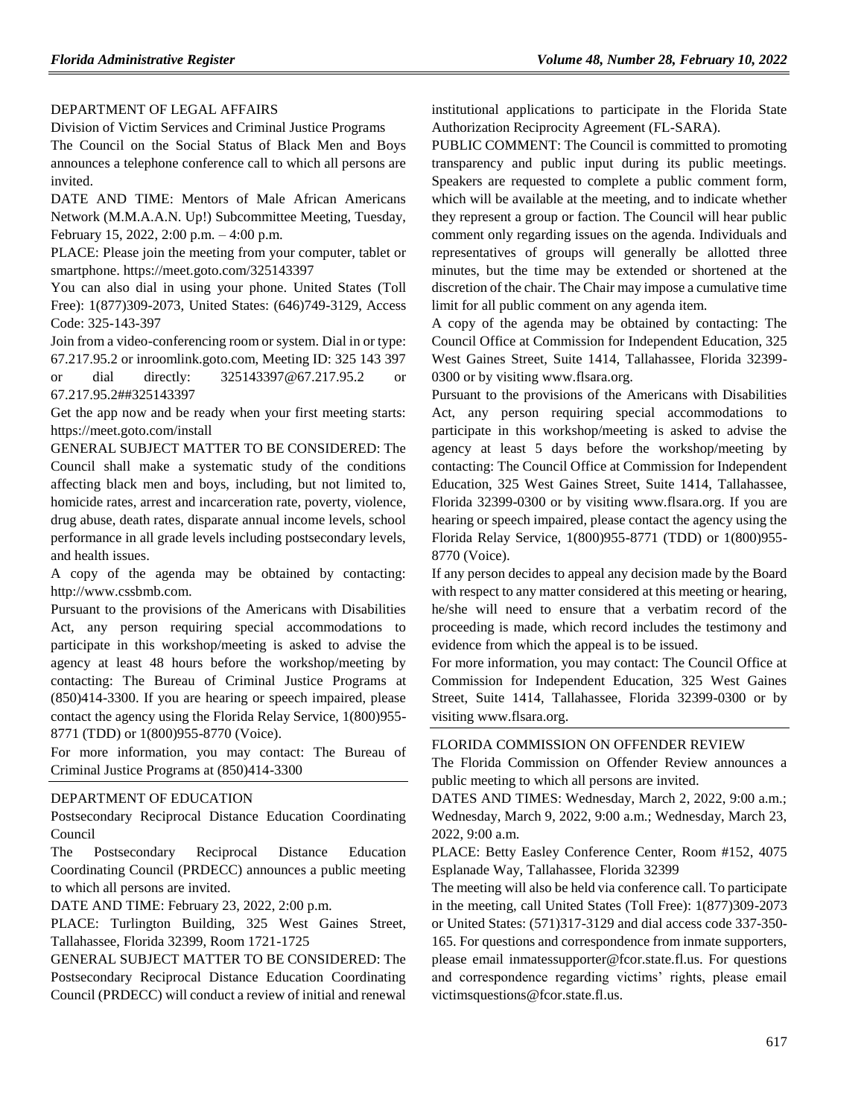## [DEPARTMENT OF LEGAL AFFAIRS](https://www.flrules.org/gateway/department.asp?id=2)

[Division of Victim Services and Criminal Justice Programs](https://www.flrules.org/gateway/organization.asp?id=48)

The Council on the Social Status of Black Men and Boys announces a telephone conference call to which all persons are invited.

DATE AND TIME: Mentors of Male African Americans Network (M.M.A.A.N. Up!) Subcommittee Meeting, Tuesday, February 15, 2022, 2:00 p.m. – 4:00 p.m.

PLACE: Please join the meeting from your computer, tablet or smartphone. https://meet.goto.com/325143397

You can also dial in using your phone. United States (Toll Free): 1(877)309-2073, United States: (646)749-3129, Access Code: 325-143-397

Join from a video-conferencing room or system. Dial in or type: 67.217.95.2 or inroomlink.goto.com, Meeting ID: 325 143 397

or dial directly: 325143397@67.217.95.2 or 67.217.95.2##325143397

Get the app now and be ready when your first meeting starts: https://meet.goto.com/install

GENERAL SUBJECT MATTER TO BE CONSIDERED: The Council shall make a systematic study of the conditions affecting black men and boys, including, but not limited to, homicide rates, arrest and incarceration rate, poverty, violence, drug abuse, death rates, disparate annual income levels, school performance in all grade levels including postsecondary levels, and health issues.

A copy of the agenda may be obtained by contacting: http://www.cssbmb.com.

Pursuant to the provisions of the Americans with Disabilities Act, any person requiring special accommodations to participate in this workshop/meeting is asked to advise the agency at least 48 hours before the workshop/meeting by contacting: The Bureau of Criminal Justice Programs at (850)414-3300. If you are hearing or speech impaired, please contact the agency using the Florida Relay Service, 1(800)955- 8771 (TDD) or 1(800)955-8770 (Voice).

For more information, you may contact: The Bureau of Criminal Justice Programs at (850)414-3300

#### [DEPARTMENT OF EDUCATION](https://www.flrules.org/gateway/department.asp?id=6)

[Postsecondary Reciprocal Distance Education Coordinating](https://www.flrules.org/gateway/organization.asp?id=1281)  [Council](https://www.flrules.org/gateway/organization.asp?id=1281)

The Postsecondary Reciprocal Distance Education Coordinating Council (PRDECC) announces a public meeting to which all persons are invited.

DATE AND TIME: February 23, 2022, 2:00 p.m.

PLACE: Turlington Building, 325 West Gaines Street, Tallahassee, Florida 32399, Room 1721-1725

GENERAL SUBJECT MATTER TO BE CONSIDERED: The Postsecondary Reciprocal Distance Education Coordinating Council (PRDECC) will conduct a review of initial and renewal

institutional applications to participate in the Florida State Authorization Reciprocity Agreement (FL-SARA).

PUBLIC COMMENT: The Council is committed to promoting transparency and public input during its public meetings. Speakers are requested to complete a public comment form, which will be available at the meeting, and to indicate whether they represent a group or faction. The Council will hear public comment only regarding issues on the agenda. Individuals and representatives of groups will generally be allotted three minutes, but the time may be extended or shortened at the discretion of the chair. The Chair may impose a cumulative time limit for all public comment on any agenda item.

A copy of the agenda may be obtained by contacting: The Council Office at Commission for Independent Education, 325 West Gaines Street, Suite 1414, Tallahassee, Florida 32399- 0300 or by visiting www.flsara.org.

Pursuant to the provisions of the Americans with Disabilities Act, any person requiring special accommodations to participate in this workshop/meeting is asked to advise the agency at least 5 days before the workshop/meeting by contacting: The Council Office at Commission for Independent Education, 325 West Gaines Street, Suite 1414, Tallahassee, Florida 32399-0300 or by visiting www.flsara.org. If you are hearing or speech impaired, please contact the agency using the Florida Relay Service, 1(800)955-8771 (TDD) or 1(800)955- 8770 (Voice).

If any person decides to appeal any decision made by the Board with respect to any matter considered at this meeting or hearing, he/she will need to ensure that a verbatim record of the proceeding is made, which record includes the testimony and evidence from which the appeal is to be issued.

For more information, you may contact: The Council Office at Commission for Independent Education, 325 West Gaines Street, Suite 1414, Tallahassee, Florida 32399-0300 or by visiting www.flsara.org.

#### [FLORIDA COMMISSION ON OFFENDER REVIEW](https://www.flrules.org/gateway/department.asp?id=23)

The Florida Commission on Offender Review announces a public meeting to which all persons are invited.

DATES AND TIMES: Wednesday, March 2, 2022, 9:00 a.m.; Wednesday, March 9, 2022, 9:00 a.m.; Wednesday, March 23, 2022, 9:00 a.m.

PLACE: Betty Easley Conference Center, Room #152, 4075 Esplanade Way, Tallahassee, Florida 32399

The meeting will also be held via conference call. To participate in the meeting, call United States (Toll Free): 1(877)309-2073 or United States: (571)317-3129 and dial access code 337-350- 165. For questions and correspondence from inmate supporters, please email inmatessupporter@fcor.state.fl.us. For questions and correspondence regarding victims' rights, please email victimsquestions@fcor.state.fl.us.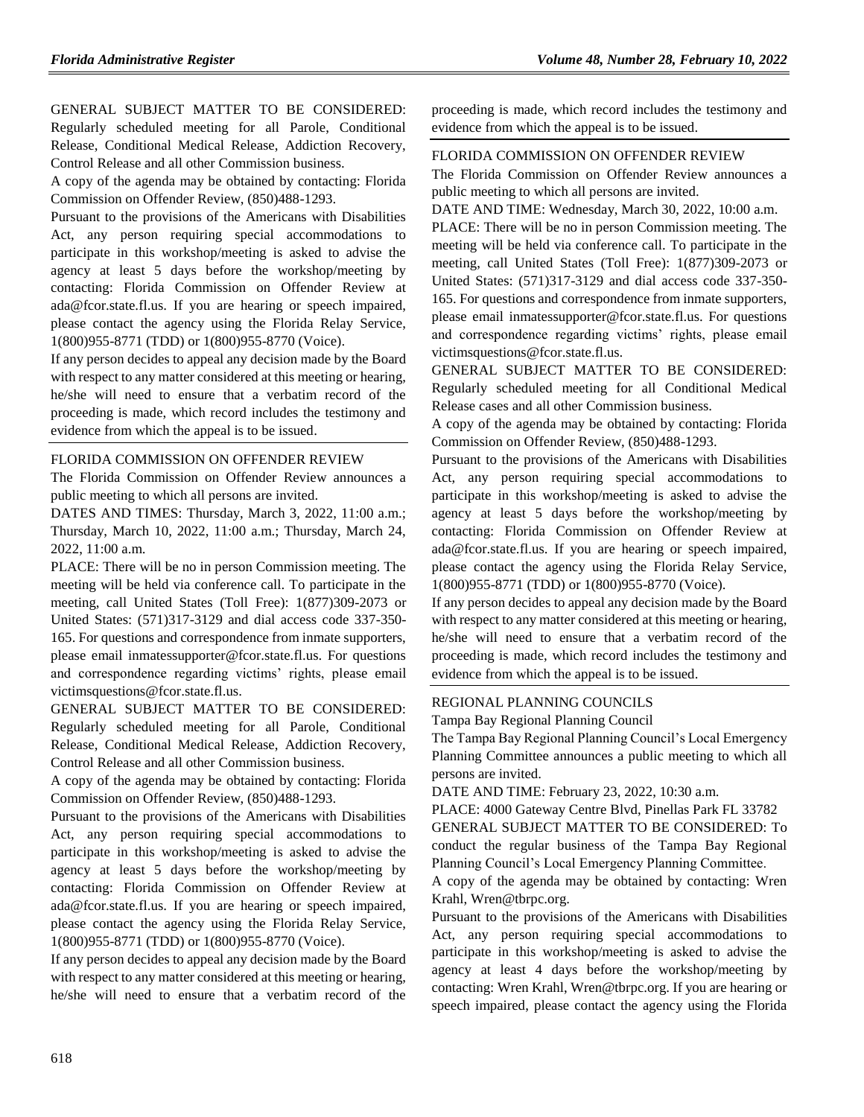GENERAL SUBJECT MATTER TO BE CONSIDERED: Regularly scheduled meeting for all Parole, Conditional Release, Conditional Medical Release, Addiction Recovery, Control Release and all other Commission business.

A copy of the agenda may be obtained by contacting: Florida Commission on Offender Review, (850)488-1293.

Pursuant to the provisions of the Americans with Disabilities Act, any person requiring special accommodations to participate in this workshop/meeting is asked to advise the agency at least 5 days before the workshop/meeting by contacting: Florida Commission on Offender Review at ada@fcor.state.fl.us. If you are hearing or speech impaired, please contact the agency using the Florida Relay Service, 1(800)955-8771 (TDD) or 1(800)955-8770 (Voice).

If any person decides to appeal any decision made by the Board with respect to any matter considered at this meeting or hearing, he/she will need to ensure that a verbatim record of the proceeding is made, which record includes the testimony and evidence from which the appeal is to be issued.

## [FLORIDA COMMISSION ON OFFENDER REVIEW](https://www.flrules.org/gateway/department.asp?id=23)

The Florida Commission on Offender Review announces a public meeting to which all persons are invited.

DATES AND TIMES: Thursday, March 3, 2022, 11:00 a.m.; Thursday, March 10, 2022, 11:00 a.m.; Thursday, March 24, 2022, 11:00 a.m.

PLACE: There will be no in person Commission meeting. The meeting will be held via conference call. To participate in the meeting, call United States (Toll Free): 1(877)309-2073 or United States: (571)317-3129 and dial access code 337-350- 165. For questions and correspondence from inmate supporters, please email inmatessupporter@fcor.state.fl.us. For questions and correspondence regarding victims' rights, please email victimsquestions@fcor.state.fl.us.

GENERAL SUBJECT MATTER TO BE CONSIDERED: Regularly scheduled meeting for all Parole, Conditional Release, Conditional Medical Release, Addiction Recovery, Control Release and all other Commission business.

A copy of the agenda may be obtained by contacting: Florida Commission on Offender Review, (850)488-1293.

Pursuant to the provisions of the Americans with Disabilities Act, any person requiring special accommodations to participate in this workshop/meeting is asked to advise the agency at least 5 days before the workshop/meeting by contacting: Florida Commission on Offender Review at ada@fcor.state.fl.us. If you are hearing or speech impaired, please contact the agency using the Florida Relay Service, 1(800)955-8771 (TDD) or 1(800)955-8770 (Voice).

If any person decides to appeal any decision made by the Board with respect to any matter considered at this meeting or hearing, he/she will need to ensure that a verbatim record of the

proceeding is made, which record includes the testimony and evidence from which the appeal is to be issued.

### [FLORIDA COMMISSION ON OFFENDER REVIEW](https://www.flrules.org/gateway/department.asp?id=23)

The Florida Commission on Offender Review announces a public meeting to which all persons are invited.

DATE AND TIME: Wednesday, March 30, 2022, 10:00 a.m.

PLACE: There will be no in person Commission meeting. The meeting will be held via conference call. To participate in the meeting, call United States (Toll Free): 1(877)309-2073 or United States: (571)317-3129 and dial access code 337-350- 165. For questions and correspondence from inmate supporters, please email inmatessupporter@fcor.state.fl.us. For questions and correspondence regarding victims' rights, please email victimsquestions@fcor.state.fl.us.

GENERAL SUBJECT MATTER TO BE CONSIDERED: Regularly scheduled meeting for all Conditional Medical Release cases and all other Commission business.

A copy of the agenda may be obtained by contacting: Florida Commission on Offender Review, (850)488-1293.

Pursuant to the provisions of the Americans with Disabilities Act, any person requiring special accommodations to participate in this workshop/meeting is asked to advise the agency at least 5 days before the workshop/meeting by contacting: Florida Commission on Offender Review at ada@fcor.state.fl.us. If you are hearing or speech impaired, please contact the agency using the Florida Relay Service, 1(800)955-8771 (TDD) or 1(800)955-8770 (Voice).

If any person decides to appeal any decision made by the Board with respect to any matter considered at this meeting or hearing, he/she will need to ensure that a verbatim record of the proceeding is made, which record includes the testimony and evidence from which the appeal is to be issued.

#### [REGIONAL PLANNING COUNCILS](https://www.flrules.org/gateway/department.asp?id=29)

[Tampa Bay Regional Planning Council](https://www.flrules.org/gateway/organization.asp?id=64)

The Tampa Bay Regional Planning Council's Local Emergency Planning Committee announces a public meeting to which all persons are invited.

DATE AND TIME: February 23, 2022, 10:30 a.m.

PLACE: 4000 Gateway Centre Blvd, Pinellas Park FL 33782 GENERAL SUBJECT MATTER TO BE CONSIDERED: To conduct the regular business of the Tampa Bay Regional Planning Council's Local Emergency Planning Committee.

A copy of the agenda may be obtained by contacting: Wren Krahl, Wren@tbrpc.org.

Pursuant to the provisions of the Americans with Disabilities Act, any person requiring special accommodations to participate in this workshop/meeting is asked to advise the agency at least 4 days before the workshop/meeting by contacting: Wren Krahl, Wren@tbrpc.org. If you are hearing or speech impaired, please contact the agency using the Florida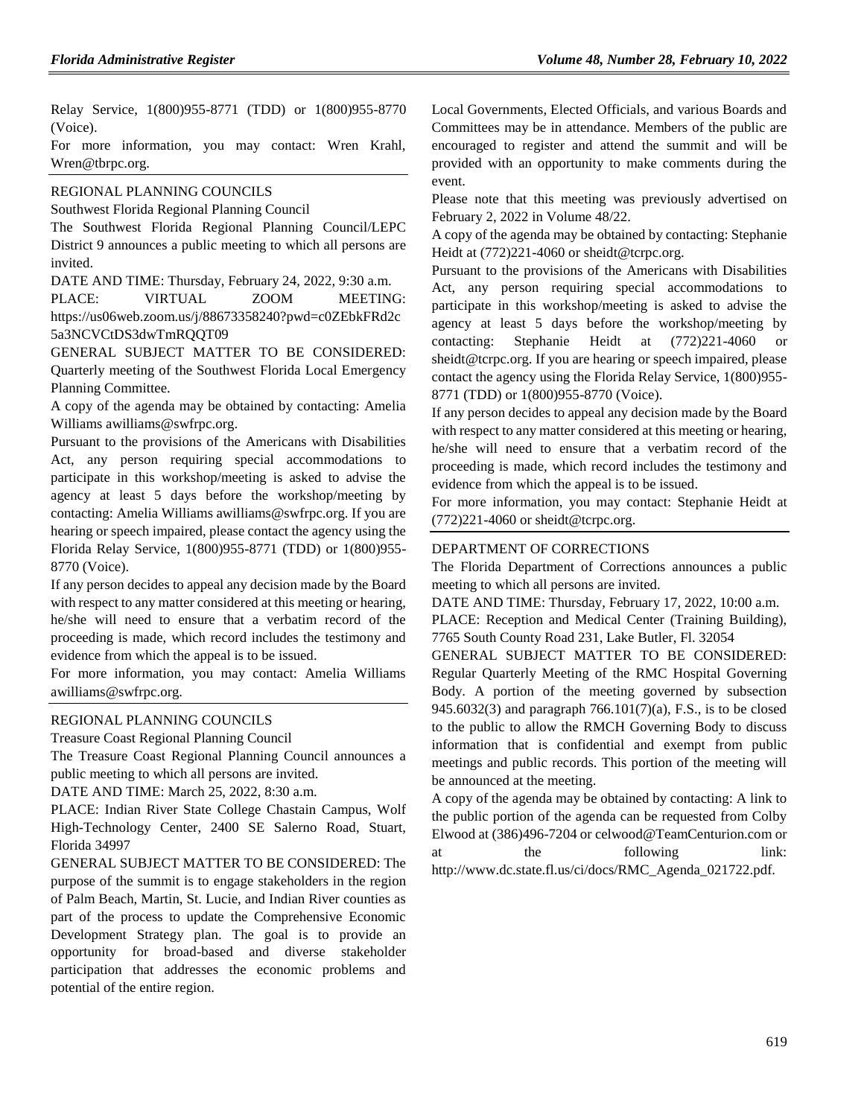Relay Service, 1(800)955-8771 (TDD) or 1(800)955-8770 (Voice).

For more information, you may contact: Wren Krahl, Wren@tbrpc.org.

#### [REGIONAL PLANNING COUNCILS](https://www.flrules.org/gateway/department.asp?id=29)

[Southwest Florida Regional Planning Council](https://www.flrules.org/gateway/organization.asp?id=65)

The Southwest Florida Regional Planning Council/LEPC District 9 announces a public meeting to which all persons are invited.

DATE AND TIME: Thursday, February 24, 2022, 9:30 a.m.

PLACE: VIRTUAL ZOOM MEETING: https://us06web.zoom.us/j/88673358240?pwd=c0ZEbkFRd2c 5a3NCVCtDS3dwTmRQQT09

GENERAL SUBJECT MATTER TO BE CONSIDERED: Quarterly meeting of the Southwest Florida Local Emergency Planning Committee.

A copy of the agenda may be obtained by contacting: Amelia Williams awilliams@swfrpc.org.

Pursuant to the provisions of the Americans with Disabilities Act, any person requiring special accommodations to participate in this workshop/meeting is asked to advise the agency at least 5 days before the workshop/meeting by contacting: Amelia Williams awilliams@swfrpc.org. If you are hearing or speech impaired, please contact the agency using the Florida Relay Service, 1(800)955-8771 (TDD) or 1(800)955- 8770 (Voice).

If any person decides to appeal any decision made by the Board with respect to any matter considered at this meeting or hearing, he/she will need to ensure that a verbatim record of the proceeding is made, which record includes the testimony and evidence from which the appeal is to be issued.

For more information, you may contact: Amelia Williams awilliams@swfrpc.org.

#### [REGIONAL PLANNING COUNCILS](https://www.flrules.org/gateway/department.asp?id=29)

[Treasure Coast Regional Planning Council](https://www.flrules.org/gateway/organization.asp?id=67)

The Treasure Coast Regional Planning Council announces a public meeting to which all persons are invited.

DATE AND TIME: March 25, 2022, 8:30 a.m.

PLACE: Indian River State College Chastain Campus, Wolf High-Technology Center, 2400 SE Salerno Road, Stuart, Florida 34997

GENERAL SUBJECT MATTER TO BE CONSIDERED: The purpose of the summit is to engage stakeholders in the region of Palm Beach, Martin, St. Lucie, and Indian River counties as part of the process to update the Comprehensive Economic Development Strategy plan. The goal is to provide an opportunity for broad-based and diverse stakeholder participation that addresses the economic problems and potential of the entire region.

Local Governments, Elected Officials, and various Boards and Committees may be in attendance. Members of the public are encouraged to register and attend the summit and will be provided with an opportunity to make comments during the event.

Please note that this meeting was previously advertised on February 2, 2022 in Volume 48/22.

A copy of the agenda may be obtained by contacting: Stephanie Heidt at (772)221-4060 or sheidt@tcrpc.org.

Pursuant to the provisions of the Americans with Disabilities Act, any person requiring special accommodations to participate in this workshop/meeting is asked to advise the agency at least 5 days before the workshop/meeting by contacting: Stephanie Heidt at (772)221-4060 or sheidt@tcrpc.org. If you are hearing or speech impaired, please contact the agency using the Florida Relay Service, 1(800)955- 8771 (TDD) or 1(800)955-8770 (Voice).

If any person decides to appeal any decision made by the Board with respect to any matter considered at this meeting or hearing, he/she will need to ensure that a verbatim record of the proceeding is made, which record includes the testimony and evidence from which the appeal is to be issued.

For more information, you may contact: Stephanie Heidt at (772)221-4060 or sheidt@tcrpc.org.

#### [DEPARTMENT OF CORRECTIONS](https://www.flrules.org/gateway/department.asp?id=33)

The Florida Department of Corrections announces a public meeting to which all persons are invited.

DATE AND TIME: Thursday, February 17, 2022, 10:00 a.m.

PLACE: Reception and Medical Center (Training Building), 7765 South County Road 231, Lake Butler, Fl. 32054

GENERAL SUBJECT MATTER TO BE CONSIDERED: Regular Quarterly Meeting of the RMC Hospital Governing Body. A portion of the meeting governed by subsection 945.6032(3) and paragraph 766.101(7)(a), F.S., is to be closed to the public to allow the RMCH Governing Body to discuss information that is confidential and exempt from public meetings and public records. This portion of the meeting will be announced at the meeting.

A copy of the agenda may be obtained by contacting: A link to the public portion of the agenda can be requested from Colby Elwood at (386)496-7204 or celwood@TeamCenturion.com or the following link: http://www.dc.state.fl.us/ci/docs/RMC\_Agenda\_021722.pdf.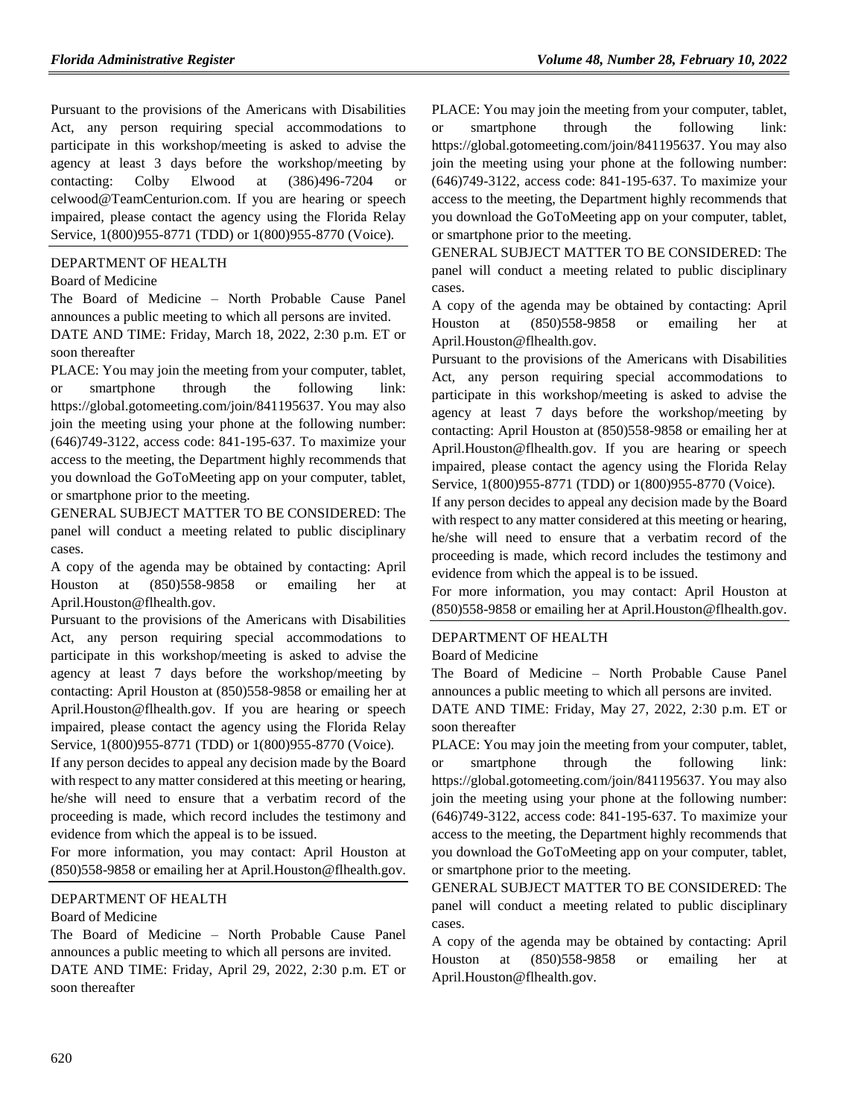Pursuant to the provisions of the Americans with Disabilities Act, any person requiring special accommodations to participate in this workshop/meeting is asked to advise the agency at least 3 days before the workshop/meeting by contacting: Colby Elwood at (386)496-7204 or celwood@TeamCenturion.com. If you are hearing or speech impaired, please contact the agency using the Florida Relay Service, 1(800)955-8771 (TDD) or 1(800)955-8770 (Voice).

## [DEPARTMENT OF HEALTH](https://www.flrules.org/gateway/department.asp?id=64)

#### [Board of Medicine](https://www.flrules.org/gateway/organization.asp?id=331)

The Board of Medicine – North Probable Cause Panel announces a public meeting to which all persons are invited.

DATE AND TIME: Friday, March 18, 2022, 2:30 p.m. ET or soon thereafter

PLACE: You may join the meeting from your computer, tablet, or smartphone through the following link: https://global.gotomeeting.com/join/841195637. You may also join the meeting using your phone at the following number: (646)749-3122, access code: 841-195-637. To maximize your access to the meeting, the Department highly recommends that you download the GoToMeeting app on your computer, tablet, or smartphone prior to the meeting.

GENERAL SUBJECT MATTER TO BE CONSIDERED: The panel will conduct a meeting related to public disciplinary cases.

A copy of the agenda may be obtained by contacting: April Houston at (850)558-9858 or emailing her at April.Houston@flhealth.gov.

Pursuant to the provisions of the Americans with Disabilities Act, any person requiring special accommodations to participate in this workshop/meeting is asked to advise the agency at least 7 days before the workshop/meeting by contacting: April Houston at (850)558-9858 or emailing her at April.Houston@flhealth.gov. If you are hearing or speech impaired, please contact the agency using the Florida Relay Service, 1(800)955-8771 (TDD) or 1(800)955-8770 (Voice).

If any person decides to appeal any decision made by the Board with respect to any matter considered at this meeting or hearing, he/she will need to ensure that a verbatim record of the proceeding is made, which record includes the testimony and evidence from which the appeal is to be issued.

For more information, you may contact: April Houston at (850)558-9858 or emailing her at April.Houston@flhealth.gov.

## [DEPARTMENT OF HEALTH](https://www.flrules.org/gateway/department.asp?id=64)

#### [Board of Medicine](https://www.flrules.org/gateway/organization.asp?id=331)

The Board of Medicine – North Probable Cause Panel announces a public meeting to which all persons are invited. DATE AND TIME: Friday, April 29, 2022, 2:30 p.m. ET or soon thereafter

PLACE: You may join the meeting from your computer, tablet, or smartphone through the following link: https://global.gotomeeting.com/join/841195637. You may also join the meeting using your phone at the following number: (646)749-3122, access code: 841-195-637. To maximize your access to the meeting, the Department highly recommends that you download the GoToMeeting app on your computer, tablet, or smartphone prior to the meeting.

GENERAL SUBJECT MATTER TO BE CONSIDERED: The panel will conduct a meeting related to public disciplinary cases.

A copy of the agenda may be obtained by contacting: April Houston at (850)558-9858 or emailing her at April.Houston@flhealth.gov.

Pursuant to the provisions of the Americans with Disabilities Act, any person requiring special accommodations to participate in this workshop/meeting is asked to advise the agency at least 7 days before the workshop/meeting by contacting: April Houston at (850)558-9858 or emailing her at April.Houston@flhealth.gov. If you are hearing or speech impaired, please contact the agency using the Florida Relay Service, 1(800)955-8771 (TDD) or 1(800)955-8770 (Voice).

If any person decides to appeal any decision made by the Board with respect to any matter considered at this meeting or hearing, he/she will need to ensure that a verbatim record of the proceeding is made, which record includes the testimony and evidence from which the appeal is to be issued.

For more information, you may contact: April Houston at (850)558-9858 or emailing her at April.Houston@flhealth.gov.

## [DEPARTMENT OF HEALTH](https://www.flrules.org/gateway/department.asp?id=64)

[Board of Medicine](https://www.flrules.org/gateway/organization.asp?id=331)

The Board of Medicine – North Probable Cause Panel announces a public meeting to which all persons are invited.

DATE AND TIME: Friday, May 27, 2022, 2:30 p.m. ET or soon thereafter

PLACE: You may join the meeting from your computer, tablet, or smartphone through the following link: https://global.gotomeeting.com/join/841195637. You may also join the meeting using your phone at the following number: (646)749-3122, access code: 841-195-637. To maximize your access to the meeting, the Department highly recommends that you download the GoToMeeting app on your computer, tablet, or smartphone prior to the meeting.

GENERAL SUBJECT MATTER TO BE CONSIDERED: The panel will conduct a meeting related to public disciplinary cases.

A copy of the agenda may be obtained by contacting: April Houston at (850)558-9858 or emailing her at April.Houston@flhealth.gov.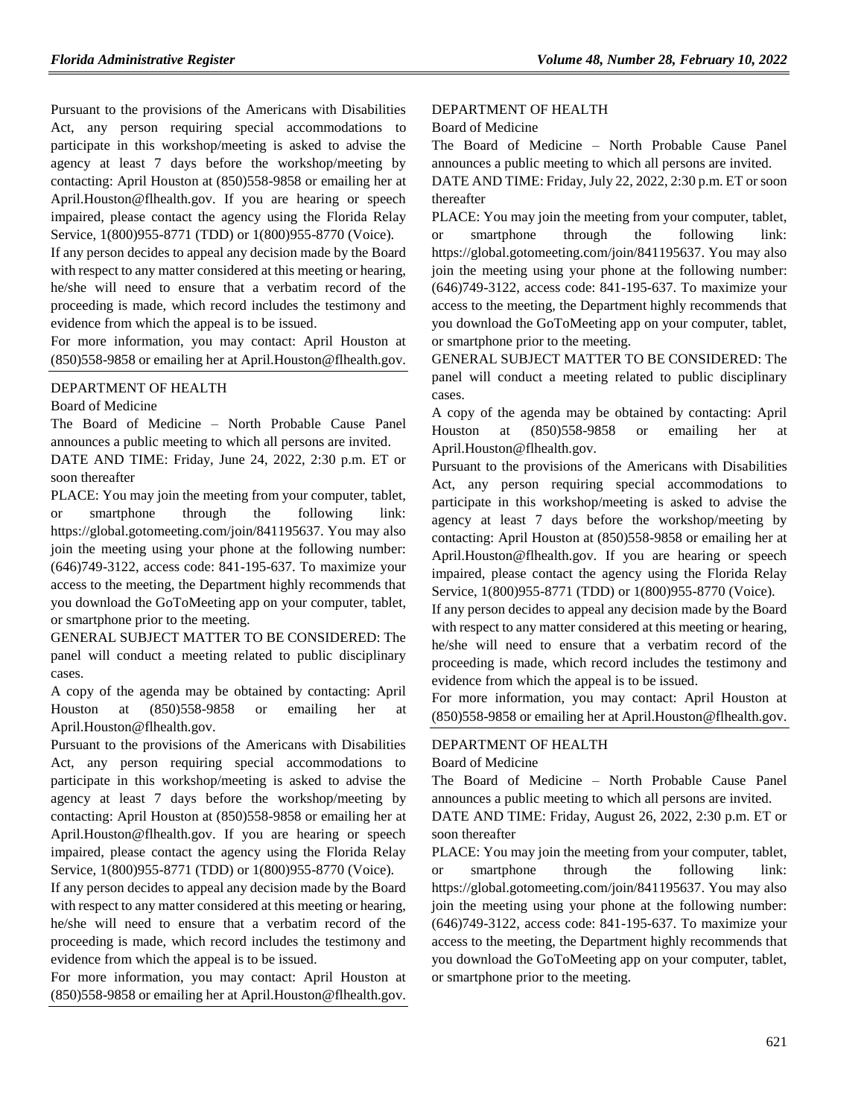Pursuant to the provisions of the Americans with Disabilities Act, any person requiring special accommodations to participate in this workshop/meeting is asked to advise the agency at least 7 days before the workshop/meeting by contacting: April Houston at (850)558-9858 or emailing her at April.Houston@flhealth.gov. If you are hearing or speech impaired, please contact the agency using the Florida Relay Service, 1(800)955-8771 (TDD) or 1(800)955-8770 (Voice).

If any person decides to appeal any decision made by the Board with respect to any matter considered at this meeting or hearing, he/she will need to ensure that a verbatim record of the proceeding is made, which record includes the testimony and evidence from which the appeal is to be issued.

For more information, you may contact: April Houston at (850)558-9858 or emailing her at April.Houston@flhealth.gov.

#### [DEPARTMENT OF HEALTH](https://www.flrules.org/gateway/department.asp?id=64)

[Board of Medicine](https://www.flrules.org/gateway/organization.asp?id=331)

The Board of Medicine – North Probable Cause Panel announces a public meeting to which all persons are invited.

DATE AND TIME: Friday, June 24, 2022, 2:30 p.m. ET or soon thereafter

PLACE: You may join the meeting from your computer, tablet, or smartphone through the following link: https://global.gotomeeting.com/join/841195637. You may also join the meeting using your phone at the following number: (646)749-3122, access code: 841-195-637. To maximize your access to the meeting, the Department highly recommends that you download the GoToMeeting app on your computer, tablet, or smartphone prior to the meeting.

GENERAL SUBJECT MATTER TO BE CONSIDERED: The panel will conduct a meeting related to public disciplinary cases.

A copy of the agenda may be obtained by contacting: April Houston at (850)558-9858 or emailing her at April.Houston@flhealth.gov.

Pursuant to the provisions of the Americans with Disabilities Act, any person requiring special accommodations to participate in this workshop/meeting is asked to advise the agency at least 7 days before the workshop/meeting by contacting: April Houston at (850)558-9858 or emailing her at April.Houston@flhealth.gov. If you are hearing or speech impaired, please contact the agency using the Florida Relay Service, 1(800)955-8771 (TDD) or 1(800)955-8770 (Voice).

If any person decides to appeal any decision made by the Board with respect to any matter considered at this meeting or hearing, he/she will need to ensure that a verbatim record of the proceeding is made, which record includes the testimony and evidence from which the appeal is to be issued.

For more information, you may contact: April Houston at (850)558-9858 or emailing her at April.Houston@flhealth.gov.

### [DEPARTMENT OF HEALTH](https://www.flrules.org/gateway/department.asp?id=64)

#### [Board of Medicine](https://www.flrules.org/gateway/organization.asp?id=331)

The Board of Medicine – North Probable Cause Panel announces a public meeting to which all persons are invited.

DATE AND TIME: Friday, July 22, 2022, 2:30 p.m. ET or soon thereafter

PLACE: You may join the meeting from your computer, tablet, or smartphone through the following link: https://global.gotomeeting.com/join/841195637. You may also join the meeting using your phone at the following number: (646)749-3122, access code: 841-195-637. To maximize your access to the meeting, the Department highly recommends that you download the GoToMeeting app on your computer, tablet, or smartphone prior to the meeting.

GENERAL SUBJECT MATTER TO BE CONSIDERED: The panel will conduct a meeting related to public disciplinary cases.

A copy of the agenda may be obtained by contacting: April Houston at (850)558-9858 or emailing her at April.Houston@flhealth.gov.

Pursuant to the provisions of the Americans with Disabilities Act, any person requiring special accommodations to participate in this workshop/meeting is asked to advise the agency at least 7 days before the workshop/meeting by contacting: April Houston at (850)558-9858 or emailing her at April.Houston@flhealth.gov. If you are hearing or speech impaired, please contact the agency using the Florida Relay Service, 1(800)955-8771 (TDD) or 1(800)955-8770 (Voice).

If any person decides to appeal any decision made by the Board with respect to any matter considered at this meeting or hearing, he/she will need to ensure that a verbatim record of the proceeding is made, which record includes the testimony and evidence from which the appeal is to be issued.

For more information, you may contact: April Houston at (850)558-9858 or emailing her at April.Houston@flhealth.gov.

#### [DEPARTMENT OF HEALTH](https://www.flrules.org/gateway/department.asp?id=64)

#### [Board of Medicine](https://www.flrules.org/gateway/organization.asp?id=331)

The Board of Medicine – North Probable Cause Panel announces a public meeting to which all persons are invited.

DATE AND TIME: Friday, August 26, 2022, 2:30 p.m. ET or soon thereafter

PLACE: You may join the meeting from your computer, tablet, or smartphone through the following link: https://global.gotomeeting.com/join/841195637. You may also join the meeting using your phone at the following number: (646)749-3122, access code: 841-195-637. To maximize your access to the meeting, the Department highly recommends that you download the GoToMeeting app on your computer, tablet, or smartphone prior to the meeting.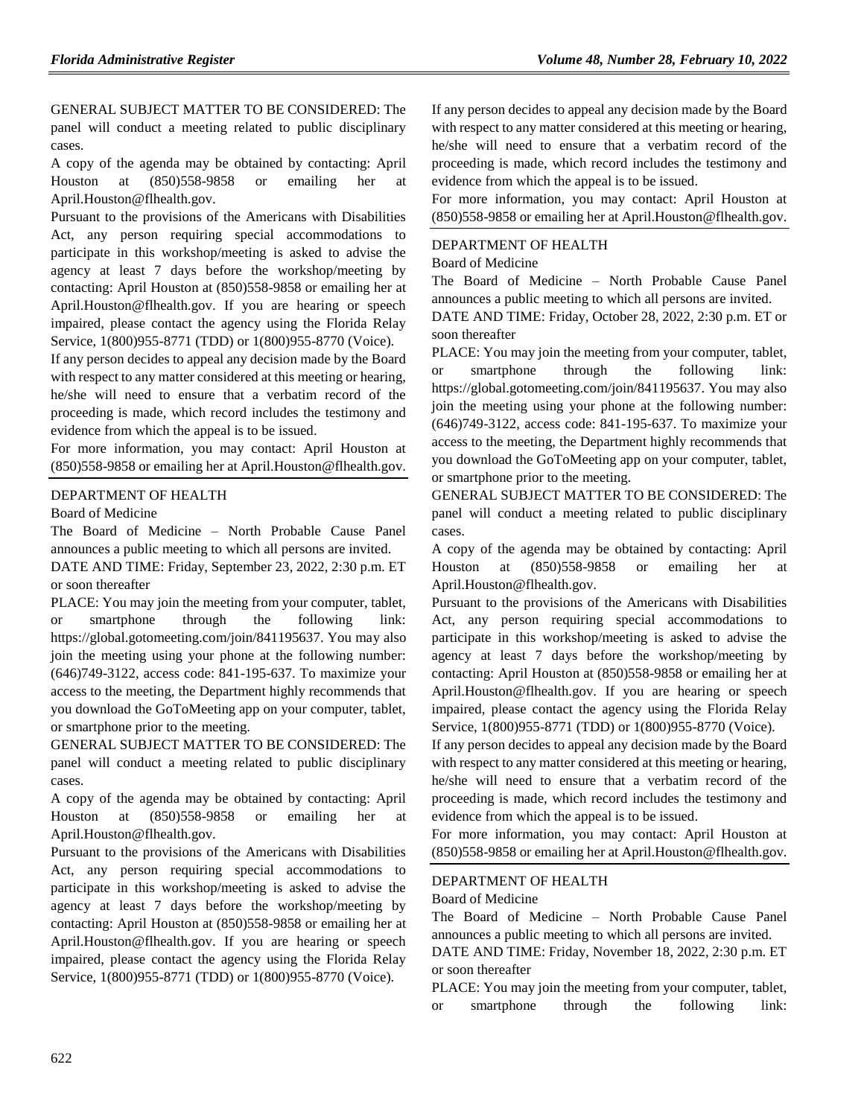GENERAL SUBJECT MATTER TO BE CONSIDERED: The panel will conduct a meeting related to public disciplinary cases.

A copy of the agenda may be obtained by contacting: April Houston at (850)558-9858 or emailing her at April.Houston@flhealth.gov.

Pursuant to the provisions of the Americans with Disabilities Act, any person requiring special accommodations to participate in this workshop/meeting is asked to advise the agency at least 7 days before the workshop/meeting by contacting: April Houston at (850)558-9858 or emailing her at April.Houston@flhealth.gov. If you are hearing or speech impaired, please contact the agency using the Florida Relay Service, 1(800)955-8771 (TDD) or 1(800)955-8770 (Voice).

If any person decides to appeal any decision made by the Board with respect to any matter considered at this meeting or hearing, he/she will need to ensure that a verbatim record of the proceeding is made, which record includes the testimony and evidence from which the appeal is to be issued.

For more information, you may contact: April Houston at (850)558-9858 or emailing her at April.Houston@flhealth.gov.

## [DEPARTMENT OF HEALTH](https://www.flrules.org/gateway/department.asp?id=64)

[Board of Medicine](https://www.flrules.org/gateway/organization.asp?id=331)

The Board of Medicine – North Probable Cause Panel announces a public meeting to which all persons are invited.

DATE AND TIME: Friday, September 23, 2022, 2:30 p.m. ET or soon thereafter

PLACE: You may join the meeting from your computer, tablet, or smartphone through the following link: https://global.gotomeeting.com/join/841195637. You may also join the meeting using your phone at the following number: (646)749-3122, access code: 841-195-637. To maximize your access to the meeting, the Department highly recommends that you download the GoToMeeting app on your computer, tablet, or smartphone prior to the meeting.

GENERAL SUBJECT MATTER TO BE CONSIDERED: The panel will conduct a meeting related to public disciplinary cases.

A copy of the agenda may be obtained by contacting: April Houston at (850)558-9858 or emailing her at April.Houston@flhealth.gov.

Pursuant to the provisions of the Americans with Disabilities Act, any person requiring special accommodations to participate in this workshop/meeting is asked to advise the agency at least 7 days before the workshop/meeting by contacting: April Houston at (850)558-9858 or emailing her at April.Houston@flhealth.gov. If you are hearing or speech impaired, please contact the agency using the Florida Relay Service, 1(800)955-8771 (TDD) or 1(800)955-8770 (Voice).

If any person decides to appeal any decision made by the Board with respect to any matter considered at this meeting or hearing, he/she will need to ensure that a verbatim record of the proceeding is made, which record includes the testimony and evidence from which the appeal is to be issued.

For more information, you may contact: April Houston at (850)558-9858 or emailing her at April.Houston@flhealth.gov.

#### [DEPARTMENT OF HEALTH](https://www.flrules.org/gateway/department.asp?id=64)

[Board of Medicine](https://www.flrules.org/gateway/organization.asp?id=331)

The Board of Medicine – North Probable Cause Panel announces a public meeting to which all persons are invited.

DATE AND TIME: Friday, October 28, 2022, 2:30 p.m. ET or soon thereafter

PLACE: You may join the meeting from your computer, tablet, or smartphone through the following link: https://global.gotomeeting.com/join/841195637. You may also join the meeting using your phone at the following number: (646)749-3122, access code: 841-195-637. To maximize your access to the meeting, the Department highly recommends that you download the GoToMeeting app on your computer, tablet, or smartphone prior to the meeting.

GENERAL SUBJECT MATTER TO BE CONSIDERED: The panel will conduct a meeting related to public disciplinary cases.

A copy of the agenda may be obtained by contacting: April Houston at (850)558-9858 or emailing her at April.Houston@flhealth.gov.

Pursuant to the provisions of the Americans with Disabilities Act, any person requiring special accommodations to participate in this workshop/meeting is asked to advise the agency at least 7 days before the workshop/meeting by contacting: April Houston at (850)558-9858 or emailing her at April.Houston@flhealth.gov. If you are hearing or speech impaired, please contact the agency using the Florida Relay Service, 1(800)955-8771 (TDD) or 1(800)955-8770 (Voice).

If any person decides to appeal any decision made by the Board with respect to any matter considered at this meeting or hearing, he/she will need to ensure that a verbatim record of the proceeding is made, which record includes the testimony and evidence from which the appeal is to be issued.

For more information, you may contact: April Houston at (850)558-9858 or emailing her at April.Houston@flhealth.gov.

#### [DEPARTMENT OF HEALTH](https://www.flrules.org/gateway/department.asp?id=64)

[Board of Medicine](https://www.flrules.org/gateway/organization.asp?id=331)

The Board of Medicine – North Probable Cause Panel announces a public meeting to which all persons are invited.

DATE AND TIME: Friday, November 18, 2022, 2:30 p.m. ET or soon thereafter

PLACE: You may join the meeting from your computer, tablet, or smartphone through the following link: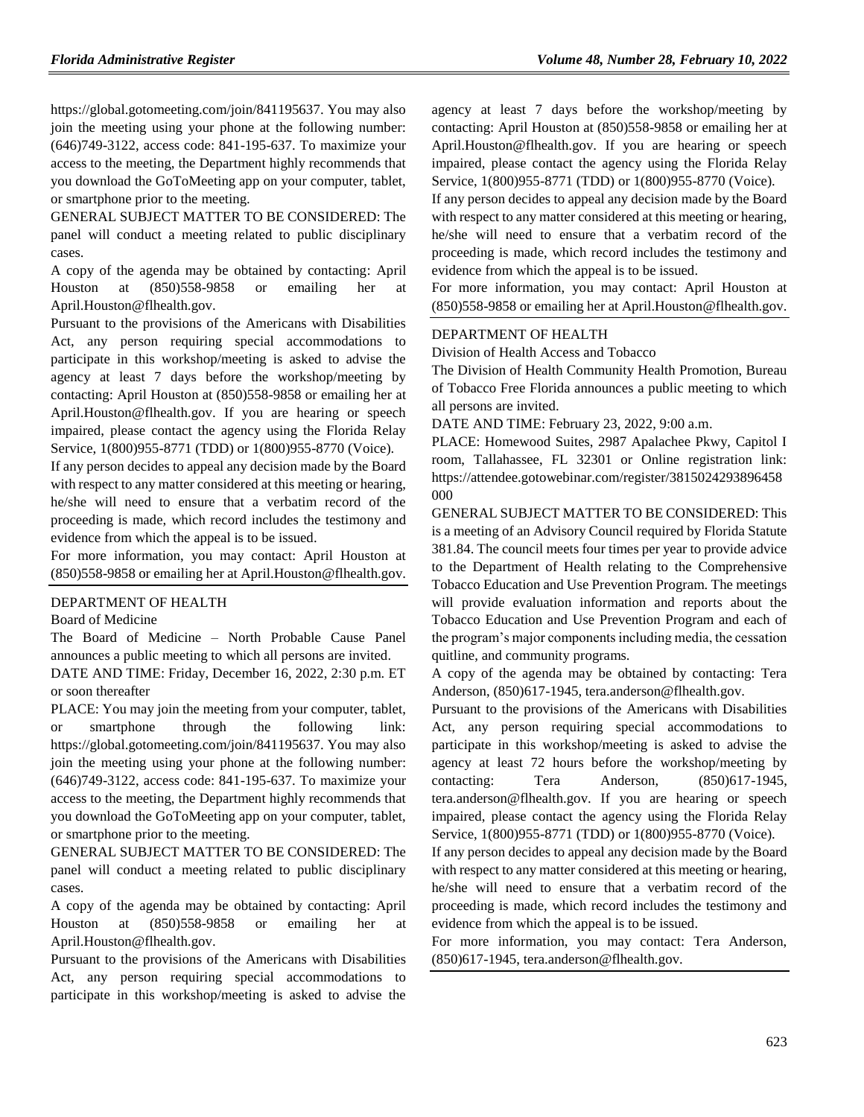https://global.gotomeeting.com/join/841195637. You may also join the meeting using your phone at the following number: (646)749-3122, access code: 841-195-637. To maximize your access to the meeting, the Department highly recommends that you download the GoToMeeting app on your computer, tablet, or smartphone prior to the meeting.

GENERAL SUBJECT MATTER TO BE CONSIDERED: The panel will conduct a meeting related to public disciplinary cases.

A copy of the agenda may be obtained by contacting: April Houston at (850)558-9858 or emailing her at April.Houston@flhealth.gov.

Pursuant to the provisions of the Americans with Disabilities Act, any person requiring special accommodations to participate in this workshop/meeting is asked to advise the agency at least 7 days before the workshop/meeting by contacting: April Houston at (850)558-9858 or emailing her at April.Houston@flhealth.gov. If you are hearing or speech impaired, please contact the agency using the Florida Relay Service, 1(800)955-8771 (TDD) or 1(800)955-8770 (Voice).

If any person decides to appeal any decision made by the Board with respect to any matter considered at this meeting or hearing, he/she will need to ensure that a verbatim record of the proceeding is made, which record includes the testimony and evidence from which the appeal is to be issued.

For more information, you may contact: April Houston at (850)558-9858 or emailing her at April.Houston@flhealth.gov.

#### [DEPARTMENT OF HEALTH](https://www.flrules.org/gateway/department.asp?id=64)

#### [Board of Medicine](https://www.flrules.org/gateway/organization.asp?id=331)

The Board of Medicine – North Probable Cause Panel announces a public meeting to which all persons are invited.

DATE AND TIME: Friday, December 16, 2022, 2:30 p.m. ET or soon thereafter

PLACE: You may join the meeting from your computer, tablet, or smartphone through the following link: https://global.gotomeeting.com/join/841195637. You may also join the meeting using your phone at the following number: (646)749-3122, access code: 841-195-637. To maximize your access to the meeting, the Department highly recommends that you download the GoToMeeting app on your computer, tablet, or smartphone prior to the meeting.

GENERAL SUBJECT MATTER TO BE CONSIDERED: The panel will conduct a meeting related to public disciplinary cases.

A copy of the agenda may be obtained by contacting: April Houston at (850)558-9858 or emailing her at April.Houston@flhealth.gov.

Pursuant to the provisions of the Americans with Disabilities Act, any person requiring special accommodations to participate in this workshop/meeting is asked to advise the

agency at least 7 days before the workshop/meeting by contacting: April Houston at (850)558-9858 or emailing her at April.Houston@flhealth.gov. If you are hearing or speech impaired, please contact the agency using the Florida Relay Service, 1(800)955-8771 (TDD) or 1(800)955-8770 (Voice).

If any person decides to appeal any decision made by the Board with respect to any matter considered at this meeting or hearing, he/she will need to ensure that a verbatim record of the proceeding is made, which record includes the testimony and evidence from which the appeal is to be issued.

For more information, you may contact: April Houston at (850)558-9858 or emailing her at April.Houston@flhealth.gov.

#### [DEPARTMENT OF HEALTH](https://www.flrules.org/gateway/department.asp?id=64)

[Division of Health Access and Tobacco](https://www.flrules.org/gateway/organization.asp?id=506)

The Division of Health Community Health Promotion, Bureau of Tobacco Free Florida announces a public meeting to which all persons are invited.

DATE AND TIME: February 23, 2022, 9:00 a.m.

PLACE: Homewood Suites, 2987 Apalachee Pkwy, Capitol I room, Tallahassee, FL 32301 or Online registration link: https://attendee.gotowebinar.com/register/3815024293896458 000

GENERAL SUBJECT MATTER TO BE CONSIDERED: This is a meeting of an Advisory Council required by Florida Statute 381.84. The council meets four times per year to provide advice to the Department of Health relating to the Comprehensive Tobacco Education and Use Prevention Program. The meetings will provide evaluation information and reports about the Tobacco Education and Use Prevention Program and each of the program's major components including media, the cessation quitline, and community programs.

A copy of the agenda may be obtained by contacting: Tera Anderson, (850)617-1945, tera.anderson@flhealth.gov.

Pursuant to the provisions of the Americans with Disabilities Act, any person requiring special accommodations to participate in this workshop/meeting is asked to advise the agency at least 72 hours before the workshop/meeting by contacting: Tera Anderson, (850)617-1945, tera.anderson@flhealth.gov. If you are hearing or speech impaired, please contact the agency using the Florida Relay Service, 1(800)955-8771 (TDD) or 1(800)955-8770 (Voice).

If any person decides to appeal any decision made by the Board with respect to any matter considered at this meeting or hearing, he/she will need to ensure that a verbatim record of the proceeding is made, which record includes the testimony and evidence from which the appeal is to be issued.

For more information, you may contact: Tera Anderson, (850)617-1945, tera.anderson@flhealth.gov.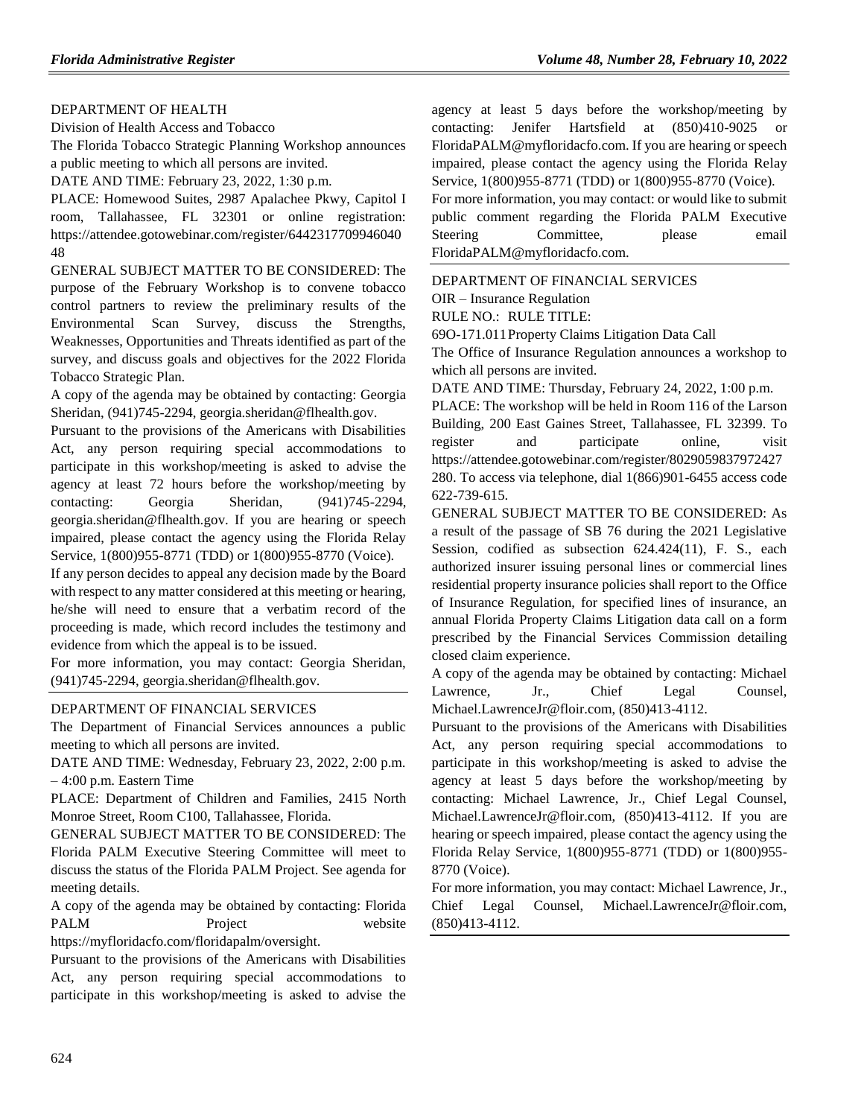## [DEPARTMENT OF HEALTH](https://www.flrules.org/gateway/department.asp?id=64)

[Division of Health Access and Tobacco](https://www.flrules.org/gateway/organization.asp?id=506)

The Florida Tobacco Strategic Planning Workshop announces a public meeting to which all persons are invited.

DATE AND TIME: February 23, 2022, 1:30 p.m.

PLACE: Homewood Suites, 2987 Apalachee Pkwy, Capitol I room, Tallahassee, FL 32301 or online registration: https://attendee.gotowebinar.com/register/6442317709946040 48

GENERAL SUBJECT MATTER TO BE CONSIDERED: The purpose of the February Workshop is to convene tobacco control partners to review the preliminary results of the Environmental Scan Survey, discuss the Strengths, Weaknesses, Opportunities and Threats identified as part of the survey, and discuss goals and objectives for the 2022 Florida Tobacco Strategic Plan.

A copy of the agenda may be obtained by contacting: Georgia Sheridan, (941)745-2294, georgia.sheridan@flhealth.gov.

Pursuant to the provisions of the Americans with Disabilities Act, any person requiring special accommodations to participate in this workshop/meeting is asked to advise the agency at least 72 hours before the workshop/meeting by contacting: Georgia Sheridan, (941)745-2294, georgia.sheridan@flhealth.gov. If you are hearing or speech impaired, please contact the agency using the Florida Relay Service, 1(800)955-8771 (TDD) or 1(800)955-8770 (Voice).

If any person decides to appeal any decision made by the Board with respect to any matter considered at this meeting or hearing, he/she will need to ensure that a verbatim record of the proceeding is made, which record includes the testimony and evidence from which the appeal is to be issued.

For more information, you may contact: Georgia Sheridan, (941)745-2294, georgia.sheridan@flhealth.gov.

#### [DEPARTMENT OF FINANCIAL SERVICES](https://www.flrules.org/gateway/department.asp?id=69)

The Department of Financial Services announces a public meeting to which all persons are invited.

DATE AND TIME: Wednesday, February 23, 2022, 2:00 p.m. – 4:00 p.m. Eastern Time

PLACE: Department of Children and Families, 2415 North Monroe Street, Room C100, Tallahassee, Florida.

GENERAL SUBJECT MATTER TO BE CONSIDERED: The Florida PALM Executive Steering Committee will meet to discuss the status of the Florida PALM Project. See agenda for meeting details.

A copy of the agenda may be obtained by contacting: Florida PALM Project website https://myfloridacfo.com/floridapalm/oversight.

Pursuant to the provisions of the Americans with Disabilities Act, any person requiring special accommodations to participate in this workshop/meeting is asked to advise the

agency at least 5 days before the workshop/meeting by contacting: Jenifer Hartsfield at (850)410-9025 or FloridaPALM@myfloridacfo.com. If you are hearing or speech impaired, please contact the agency using the Florida Relay Service, 1(800)955-8771 (TDD) or 1(800)955-8770 (Voice).

For more information, you may contact: or would like to submit public comment regarding the Florida PALM Executive Steering Committee, please email FloridaPALM@myfloridacfo.com.

[DEPARTMENT OF FINANCIAL SERVICES](https://www.flrules.org/gateway/department.asp?id=69)

OIR – [Insurance Regulation](https://www.flrules.org/gateway/organization.asp?id=520)

RULE NO.: RULE TITLE:

[69O-171.011P](https://www.flrules.org/gateway/ruleNo.asp?id=69O-171.011)roperty Claims Litigation Data Call

The Office of Insurance Regulation announces a workshop to which all persons are invited.

DATE AND TIME: Thursday, February 24, 2022, 1:00 p.m.

PLACE: The workshop will be held in Room 116 of the Larson Building, 200 East Gaines Street, Tallahassee, FL 32399. To register and participate online, visit https://attendee.gotowebinar.com/register/8029059837972427 280. To access via telephone, dial 1(866)901-6455 access code 622-739-615.

GENERAL SUBJECT MATTER TO BE CONSIDERED: As a result of the passage of SB 76 during the 2021 Legislative Session, codified as subsection 624.424(11), F. S., each authorized insurer issuing personal lines or commercial lines residential property insurance policies shall report to the Office of Insurance Regulation, for specified lines of insurance, an annual Florida Property Claims Litigation data call on a form prescribed by the Financial Services Commission detailing closed claim experience.

A copy of the agenda may be obtained by contacting: Michael Lawrence, Jr., Chief Legal Counsel, Michael.LawrenceJr@floir.com, (850)413-4112.

Pursuant to the provisions of the Americans with Disabilities Act, any person requiring special accommodations to participate in this workshop/meeting is asked to advise the agency at least 5 days before the workshop/meeting by contacting: Michael Lawrence, Jr., Chief Legal Counsel, Michael.LawrenceJr@floir.com, (850)413-4112. If you are hearing or speech impaired, please contact the agency using the Florida Relay Service, 1(800)955-8771 (TDD) or 1(800)955- 8770 (Voice).

For more information, you may contact: Michael Lawrence, Jr., Chief Legal Counsel, Michael.LawrenceJr@floir.com, (850)413-4112.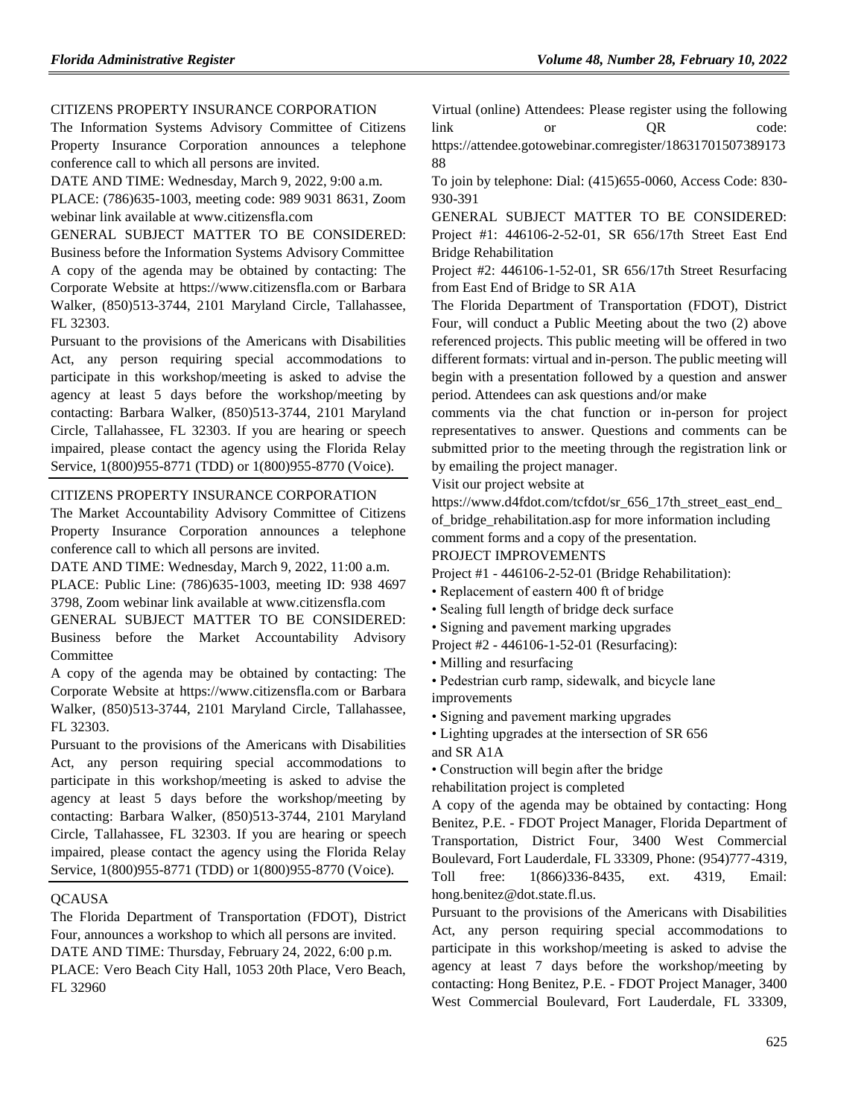## [CITIZENS PROPERTY INSURANCE CORPORATION](https://www.flrules.org/gateway/organization.asp?id=591)

The Information Systems Advisory Committee of Citizens Property Insurance Corporation announces a telephone conference call to which all persons are invited.

DATE AND TIME: Wednesday, March 9, 2022, 9:00 a.m.

PLACE: (786)635-1003, meeting code: 989 9031 8631, Zoom webinar link available at www.citizensfla.com

GENERAL SUBJECT MATTER TO BE CONSIDERED: Business before the Information Systems Advisory Committee A copy of the agenda may be obtained by contacting: The Corporate Website at https://www.citizensfla.com or Barbara Walker, (850)513-3744, 2101 Maryland Circle, Tallahassee, FL 32303.

Pursuant to the provisions of the Americans with Disabilities Act, any person requiring special accommodations to participate in this workshop/meeting is asked to advise the agency at least 5 days before the workshop/meeting by contacting: Barbara Walker, (850)513-3744, 2101 Maryland Circle, Tallahassee, FL 32303. If you are hearing or speech impaired, please contact the agency using the Florida Relay Service, 1(800)955-8771 (TDD) or 1(800)955-8770 (Voice).

#### [CITIZENS PROPERTY INSURANCE CORPORATION](https://www.flrules.org/gateway/organization.asp?id=591)

The Market Accountability Advisory Committee of Citizens Property Insurance Corporation announces a telephone conference call to which all persons are invited.

DATE AND TIME: Wednesday, March 9, 2022, 11:00 a.m.

PLACE: Public Line: (786)635-1003, meeting ID: 938 4697 3798, Zoom webinar link available at www.citizensfla.com

GENERAL SUBJECT MATTER TO BE CONSIDERED:

Business before the Market Accountability Advisory Committee

A copy of the agenda may be obtained by contacting: The Corporate Website at https://www.citizensfla.com or Barbara Walker, (850)513-3744, 2101 Maryland Circle, Tallahassee, FL 32303.

Pursuant to the provisions of the Americans with Disabilities Act, any person requiring special accommodations to participate in this workshop/meeting is asked to advise the agency at least 5 days before the workshop/meeting by contacting: Barbara Walker, (850)513-3744, 2101 Maryland Circle, Tallahassee, FL 32303. If you are hearing or speech impaired, please contact the agency using the Florida Relay Service, 1(800)955-8771 (TDD) or 1(800)955-8770 (Voice).

## **[QCAUSA](https://www.flrules.org/gateway/organization.asp?id=991)**

The Florida Department of Transportation (FDOT), District Four, announces a workshop to which all persons are invited. DATE AND TIME: Thursday, February 24, 2022, 6:00 p.m. PLACE: Vero Beach City Hall, 1053 20th Place, Vero Beach, FL 32960

Virtual (online) Attendees: Please register using the following link or QR code:

https://attendee.gotowebinar.comregister/18631701507389173 88

To join by telephone: Dial: (415)655-0060, Access Code: 830- 930-391

GENERAL SUBJECT MATTER TO BE CONSIDERED: Project #1: 446106-2-52-01, SR 656/17th Street East End Bridge Rehabilitation

Project #2: 446106-1-52-01, SR 656/17th Street Resurfacing from East End of Bridge to SR A1A

The Florida Department of Transportation (FDOT), District Four, will conduct a Public Meeting about the two (2) above referenced projects. This public meeting will be offered in two different formats: virtual and in-person. The public meeting will begin with a presentation followed by a question and answer period. Attendees can ask questions and/or make

comments via the chat function or in-person for project representatives to answer. Questions and comments can be submitted prior to the meeting through the registration link or by emailing the project manager.

Visit our project website at

https://www.d4fdot.com/tcfdot/sr\_656\_17th\_street\_east\_end of\_bridge\_rehabilitation.asp for more information including comment forms and a copy of the presentation.

PROJECT IMPROVEMENTS

Project #1 - 446106-2-52-01 (Bridge Rehabilitation):

- Replacement of eastern 400 ft of bridge
- Sealing full length of bridge deck surface
- Signing and pavement marking upgrades
- Project #2 446106-1-52-01 (Resurfacing):
- Milling and resurfacing

• Pedestrian curb ramp, sidewalk, and bicycle lane improvements

• Signing and pavement marking upgrades

• Lighting upgrades at the intersection of SR 656 and SR A1A

• Construction will begin after the bridge

rehabilitation project is completed

A copy of the agenda may be obtained by contacting: Hong Benitez, P.E. - FDOT Project Manager, Florida Department of Transportation, District Four, 3400 West Commercial Boulevard, Fort Lauderdale, FL 33309, Phone: (954)777-4319, Toll free: 1(866)336-8435, ext. 4319, Email: hong.benitez@dot.state.fl.us.

Pursuant to the provisions of the Americans with Disabilities Act, any person requiring special accommodations to participate in this workshop/meeting is asked to advise the agency at least 7 days before the workshop/meeting by contacting: Hong Benitez, P.E. - FDOT Project Manager, 3400 West Commercial Boulevard, Fort Lauderdale, FL 33309,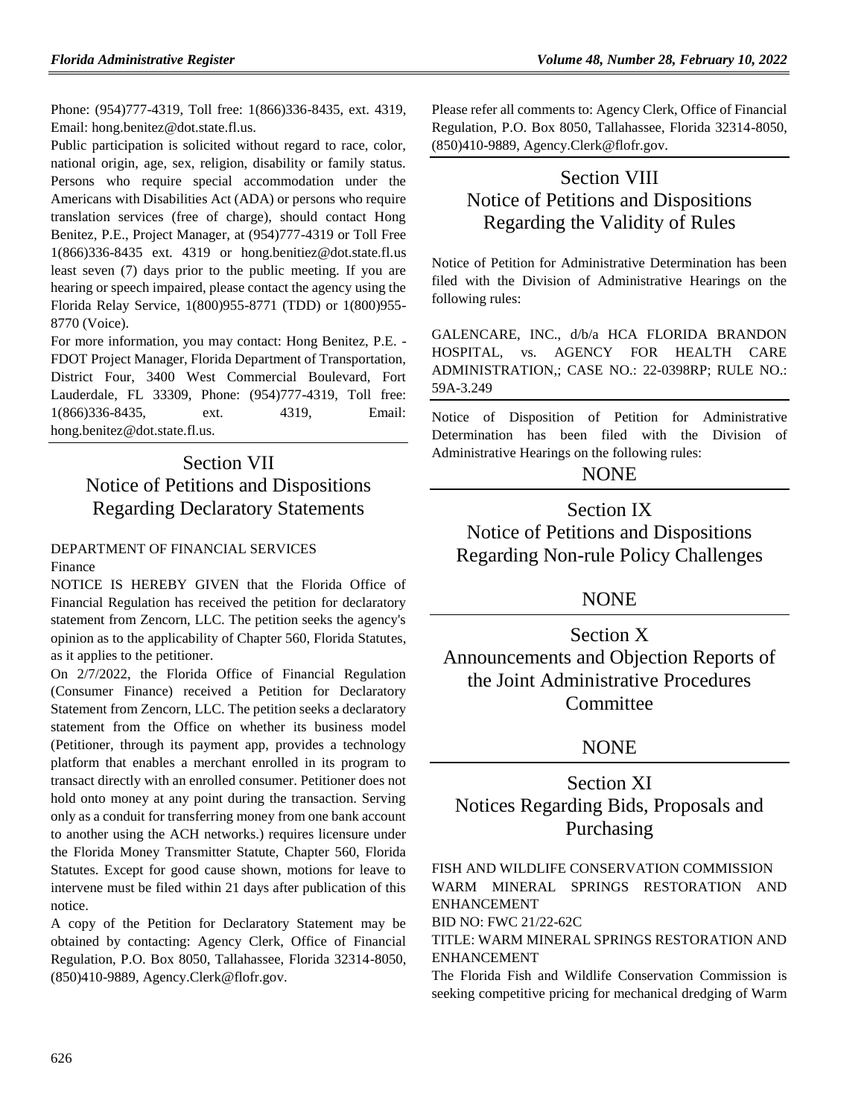Phone: (954)777-4319, Toll free: 1(866)336-8435, ext. 4319, Email: hong.benitez@dot.state.fl.us.

Public participation is solicited without regard to race, color, national origin, age, sex, religion, disability or family status. Persons who require special accommodation under the Americans with Disabilities Act (ADA) or persons who require translation services (free of charge), should contact Hong Benitez, P.E., Project Manager, at (954)777-4319 or Toll Free 1(866)336-8435 ext. 4319 or hong.benitiez@dot.state.fl.us least seven (7) days prior to the public meeting. If you are hearing or speech impaired, please contact the agency using the Florida Relay Service, 1(800)955-8771 (TDD) or 1(800)955- 8770 (Voice).

For more information, you may contact: Hong Benitez, P.E. - FDOT Project Manager, Florida Department of Transportation, District Four, 3400 West Commercial Boulevard, Fort Lauderdale, FL 33309, Phone: (954)777-4319, Toll free: 1(866)336-8435, ext. 4319, Email: hong.benitez@dot.state.fl.us.

# Section VII Notice of Petitions and Dispositions Regarding Declaratory Statements

# [DEPARTMENT OF FINANCIAL SERVICES](https://www.flrules.org/gateway/department.asp?id=69)

[Finance](https://www.flrules.org/gateway/organization.asp?id=524)

NOTICE IS HEREBY GIVEN that the Florida Office of Financial Regulation has received the petition for declaratory statement from Zencorn, LLC. The petition seeks the agency's opinion as to the applicability of Chapter 560, Florida Statutes, as it applies to the petitioner.

On 2/7/2022, the Florida Office of Financial Regulation (Consumer Finance) received a Petition for Declaratory Statement from Zencorn, LLC. The petition seeks a declaratory statement from the Office on whether its business model (Petitioner, through its payment app, provides a technology platform that enables a merchant enrolled in its program to transact directly with an enrolled consumer. Petitioner does not hold onto money at any point during the transaction. Serving only as a conduit for transferring money from one bank account to another using the ACH networks.) requires licensure under the Florida Money Transmitter Statute, Chapter 560, Florida Statutes. Except for good cause shown, motions for leave to intervene must be filed within 21 days after publication of this notice.

A copy of the Petition for Declaratory Statement may be obtained by contacting: Agency Clerk, Office of Financial Regulation, P.O. Box 8050, Tallahassee, Florida 32314-8050, (850)410-9889, Agency.Clerk@flofr.gov.

Please refer all comments to: Agency Clerk, Office of Financial Regulation, P.O. Box 8050, Tallahassee, Florida 32314-8050, (850)410-9889, Agency.Clerk@flofr.gov.

# Section VIII Notice of Petitions and Dispositions Regarding the Validity of Rules

Notice of Petition for Administrative Determination has been filed with the Division of Administrative Hearings on the following rules:

GALENCARE, INC., d/b/a HCA FLORIDA BRANDON HOSPITAL, vs. AGENCY FOR HEALTH CARE ADMINISTRATION,; CASE NO.: 22-0398RP; RULE NO.: 59A-3.249

Notice of Disposition of Petition for Administrative Determination has been filed with the Division of Administrative Hearings on the following rules:

## **NONE**

Section IX Notice of Petitions and Dispositions Regarding Non-rule Policy Challenges

# NONE

Section X Announcements and Objection Reports of the Joint Administrative Procedures **Committee** 

# NONE

Section XI Notices Regarding Bids, Proposals and Purchasing

[FISH AND WILDLIFE CONSERVATION COMMISSION](https://www.flrules.org/gateway/department.asp?id=68) WARM MINERAL SPRINGS RESTORATION AND ENHANCEMENT

BID NO: FWC 21/22-62C

TITLE: WARM MINERAL SPRINGS RESTORATION AND ENHANCEMENT

The Florida Fish and Wildlife Conservation Commission is seeking competitive pricing for mechanical dredging of Warm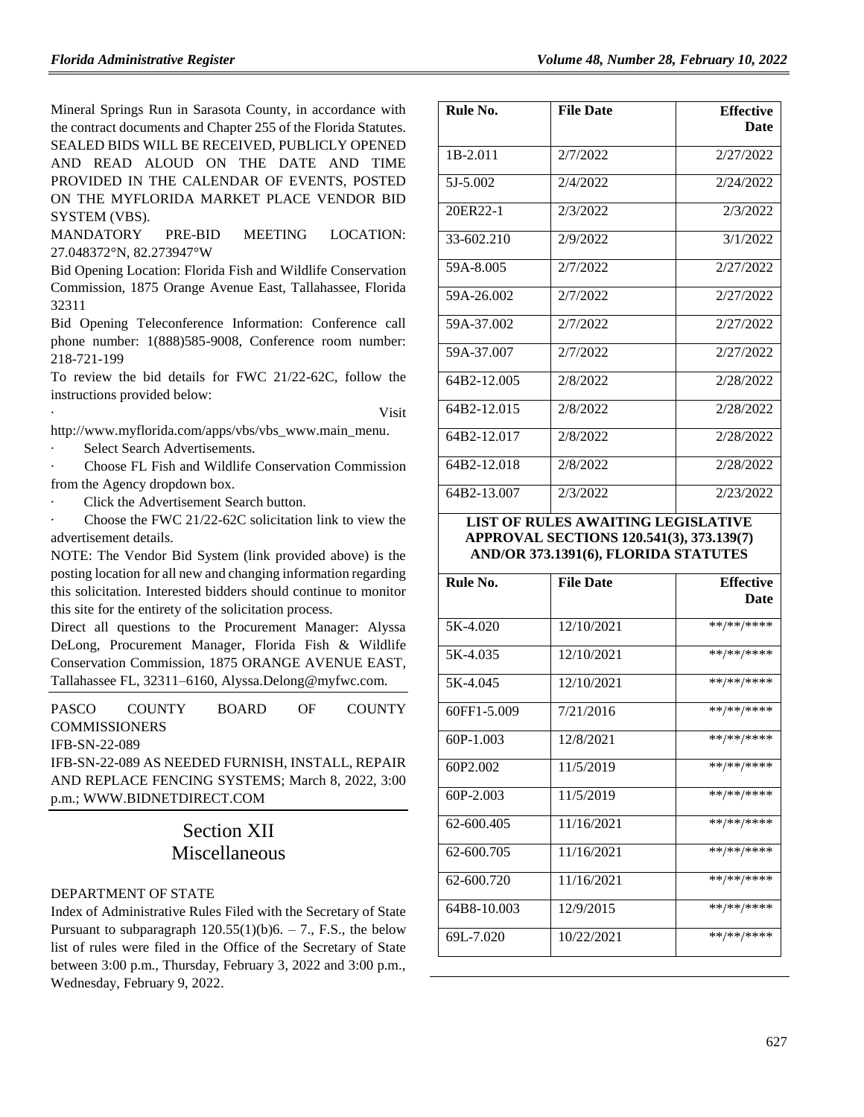Mineral Springs Run in Sarasota County, in accordance with the contract documents and Chapter 255 of the Florida Statutes. SEALED BIDS WILL BE RECEIVED, PUBLICLY OPENED AND READ ALOUD ON THE DATE AND TIME PROVIDED IN THE CALENDAR OF EVENTS, POSTED ON THE MYFLORIDA MARKET PLACE VENDOR BID SYSTEM (VBS).

MANDATORY PRE-BID MEETING LOCATION: 27.048372°N, 82.273947°W

Bid Opening Location: Florida Fish and Wildlife Conservation Commission, 1875 Orange Avenue East, Tallahassee, Florida 32311

Bid Opening Teleconference Information: Conference call phone number: 1(888)585-9008, Conference room number: 218-721-199

To review the bid details for FWC 21/22-62C, follow the instructions provided below:

· Visit

[http://www.myflorida.com/apps/vbs/vbs\\_www.main\\_menu.](http://www.myflorida.com/apps/vbs/vbs_www.main_menu)

Select Search Advertisements.

· Choose FL Fish and Wildlife Conservation Commission from the Agency dropdown box.

Click the Advertisement Search button.

Choose the FWC 21/22-62C solicitation link to view the advertisement details.

NOTE: The Vendor Bid System (link provided above) is the posting location for all new and changing information regarding this solicitation. Interested bidders should continue to monitor this site for the entirety of the solicitation process.

Direct all questions to the Procurement Manager: Alyssa DeLong, Procurement Manager, Florida Fish & Wildlife Conservation Commission, 1875 ORANGE AVENUE EAST, Tallahassee FL, 32311–6160, Alyssa.Delong@myfwc.com.

| PASCO                                            | COUNTY                                           | <b>BOARD</b> | OF. | <b>COUNTY</b> |  |  |  |
|--------------------------------------------------|--------------------------------------------------|--------------|-----|---------------|--|--|--|
| <b>COMMISSIONERS</b>                             |                                                  |              |     |               |  |  |  |
| <b>IFB-SN-22-089</b>                             |                                                  |              |     |               |  |  |  |
| IFB-SN-22-089 AS NEEDED FURNISH, INSTALL, REPAIR |                                                  |              |     |               |  |  |  |
|                                                  | AND REPLACE FENCING SYSTEMS; March 8, 2022, 3:00 |              |     |               |  |  |  |

p.m.; [WWW.BIDNETDIRECT.COM](http://www.bidnetdirect.com/)

# Section XII Miscellaneous

## [DEPARTMENT OF STATE](https://www.flrules.org/gateway/department.asp?id=1)

Index of Administrative Rules Filed with the Secretary of State Pursuant to subparagraph  $120.55(1)(b)6. - 7$ ., F.S., the below list of rules were filed in the Office of the Secretary of State between 3:00 p.m., Thursday, February 3, 2022 and 3:00 p.m., Wednesday, February 9, 2022.

| Rule No.    | <b>File Date</b> | <b>Effective</b> |
|-------------|------------------|------------------|
|             |                  | Date             |
| $1B-2.011$  | 2/7/2022         | 2/27/2022        |
| 5J-5.002    | 2/4/2022         | 2/24/2022        |
| 20ER22-1    | 2/3/2022         | 2/3/2022         |
| 33-602.210  | 2/9/2022         | 3/1/2022         |
| 59A-8.005   | 2/7/2022         | 2/27/2022        |
| 59A-26.002  | 2/7/2022         | 2/27/2022        |
| 59A-37.002  | 2/7/2022         | 2/27/2022        |
| 59A-37.007  | 2/7/2022         | 2/27/2022        |
| 64B2-12.005 | 2/8/2022         | 2/28/2022        |
| 64B2-12.015 | 2/8/2022         | 2/28/2022        |
| 64B2-12.017 | 2/8/2022         | 2/28/2022        |
| 64B2-12.018 | 2/8/2022         | 2/28/2022        |
| 64B2-13.007 | 2/3/2022         | 2/23/2022        |

## **LIST OF RULES AWAITING LEGISLATIVE APPROVAL SECTIONS 120.541(3), 373.139(7) AND/OR 373.1391(6), FLORIDA STATUTES**

| Rule No.      | <b>File Date</b> | <b>Effective</b> |  |  |
|---------------|------------------|------------------|--|--|
|               |                  | <b>Date</b>      |  |  |
|               |                  |                  |  |  |
| 5K-4.020      | 12/10/2021       | **/**/****       |  |  |
|               |                  |                  |  |  |
| 5K-4.035      | 12/10/2021       | **/**/****       |  |  |
|               |                  |                  |  |  |
| 5K-4.045      | 12/10/2021       | **/**/****       |  |  |
|               |                  |                  |  |  |
| 60FF1-5.009   | 7/21/2016        | **/**/****       |  |  |
|               |                  |                  |  |  |
| $60P-1.003$   | 12/8/2021        | **/**/****       |  |  |
|               |                  |                  |  |  |
| 60P2.002      | 11/5/2019        | **/**/****       |  |  |
|               |                  |                  |  |  |
| $60P - 2.003$ | 11/5/2019        | **/**/****       |  |  |
|               |                  |                  |  |  |
| 62-600.405    | 11/16/2021       | **/**/****       |  |  |
|               |                  |                  |  |  |
| 62-600.705    | 11/16/2021       | **/**/****       |  |  |
|               |                  |                  |  |  |
| 62-600.720    | 11/16/2021       | **/**/****       |  |  |
|               |                  |                  |  |  |
| 64B8-10.003   | 12/9/2015        | **/**/****       |  |  |
|               |                  |                  |  |  |
| 69L-7.020     | 10/22/2021       | **/**/****       |  |  |
|               |                  |                  |  |  |
|               |                  |                  |  |  |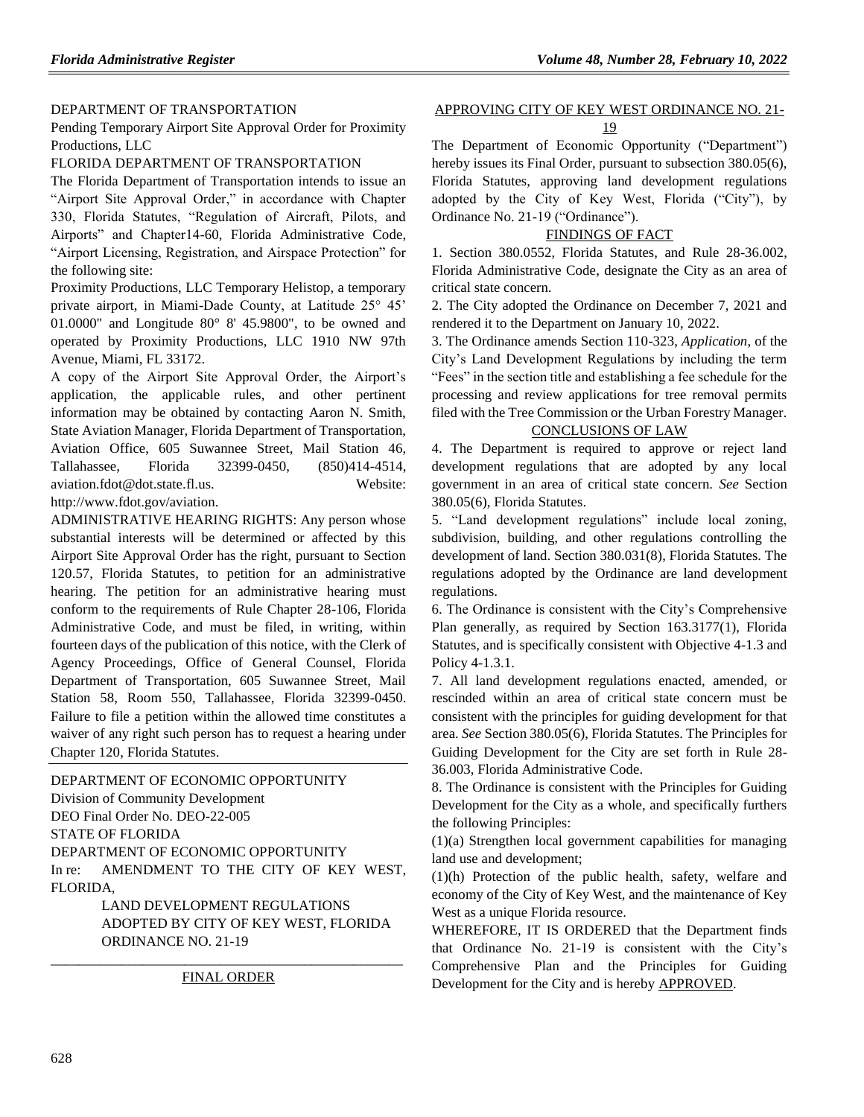## [DEPARTMENT OF TRANSPORTATION](https://www.flrules.org/gateway/department.asp?id=14)

Pending Temporary Airport Site Approval Order for Proximity Productions, LLC

## FLORIDA DEPARTMENT OF TRANSPORTATION

The Florida Department of Transportation intends to issue an "Airport Site Approval Order," in accordance with Chapter 330, Florida Statutes, "Regulation of Aircraft, Pilots, and Airports" and Chapter14-60, Florida Administrative Code, "Airport Licensing, Registration, and Airspace Protection" for the following site:

Proximity Productions, LLC Temporary Helistop, a temporary private airport, in Miami-Dade County, at Latitude 25° 45' 01.0000" and Longitude  $80^{\circ}$  8' 45.9800", to be owned and operated by Proximity Productions, LLC 1910 NW 97th Avenue, Miami, FL 33172.

A copy of the Airport Site Approval Order, the Airport's application, the applicable rules, and other pertinent information may be obtained by contacting Aaron N. Smith, State Aviation Manager, Florida Department of Transportation, Aviation Office, 605 Suwannee Street, Mail Station 46, Tallahassee, Florida 32399-0450, (850)414-4514, [aviation.fdot@dot.state.fl.us.](mailto:aviation.fdot@dot.state.fl.us) Website:

[http://www.fdot.gov/aviation.](http://www.dot.state.fl.us/aviation)

ADMINISTRATIVE HEARING RIGHTS: Any person whose substantial interests will be determined or affected by this Airport Site Approval Order has the right, pursuant to Section 120.57, Florida Statutes, to petition for an administrative hearing. The petition for an administrative hearing must conform to the requirements of Rule Chapter 28-106, Florida Administrative Code, and must be filed, in writing, within fourteen days of the publication of this notice, with the Clerk of Agency Proceedings, Office of General Counsel, Florida Department of Transportation, 605 Suwannee Street, Mail Station 58, Room 550, Tallahassee, Florida 32399-0450. Failure to file a petition within the allowed time constitutes a waiver of any right such person has to request a hearing under Chapter 120, Florida Statutes.

[DEPARTMENT OF ECONOMIC OPPORTUNITY](https://www.flrules.org/gateway/department.asp?id=73) [Division of Community Development](https://www.flrules.org/gateway/organization.asp?id=1066) DEO Final Order No. DEO-22-005 STATE OF FLORIDA DEPARTMENT OF ECONOMIC OPPORTUNITY In re: AMENDMENT TO THE CITY OF KEY WEST, FLORIDA,

LAND DEVELOPMENT REGULATIONS ADOPTED BY CITY OF KEY WEST, FLORIDA ORDINANCE NO. 21-19

\_\_\_\_\_\_\_\_\_\_\_\_\_\_\_\_\_\_\_\_\_\_\_\_\_\_\_\_\_\_\_\_\_\_\_\_\_\_\_\_\_\_\_\_\_\_\_\_\_\_ FINAL ORDER

#### APPROVING CITY OF KEY WEST ORDINANCE NO. 21-

### 19

The Department of Economic Opportunity ("Department") hereby issues its Final Order, pursuant to subsection 380.05(6), Florida Statutes, approving land development regulations adopted by the City of Key West, Florida ("City"), by Ordinance No. 21-19 ("Ordinance").

## FINDINGS OF FACT

1. Section 380.0552, Florida Statutes, and Rule 28-36.002, Florida Administrative Code, designate the City as an area of critical state concern.

2. The City adopted the Ordinance on December 7, 2021 and rendered it to the Department on January 10, 2022.

3. The Ordinance amends Section 110-323, *Application*, of the City's Land Development Regulations by including the term "Fees" in the section title and establishing a fee schedule for the processing and review applications for tree removal permits filed with the Tree Commission or the Urban Forestry Manager.

### CONCLUSIONS OF LAW

4. The Department is required to approve or reject land development regulations that are adopted by any local government in an area of critical state concern. *See* Section 380.05(6), Florida Statutes.

5. "Land development regulations" include local zoning, subdivision, building, and other regulations controlling the development of land. Section 380.031(8), Florida Statutes. The regulations adopted by the Ordinance are land development regulations.

6. The Ordinance is consistent with the City's Comprehensive Plan generally, as required by Section 163.3177(1), Florida Statutes, and is specifically consistent with Objective 4-1.3 and Policy 4-1.3.1.

7. All land development regulations enacted, amended, or rescinded within an area of critical state concern must be consistent with the principles for guiding development for that area. *See* Section 380.05(6), Florida Statutes. The Principles for Guiding Development for the City are set forth in Rule 28- 36.003, Florida Administrative Code.

8. The Ordinance is consistent with the Principles for Guiding Development for the City as a whole, and specifically furthers the following Principles:

(1)(a) Strengthen local government capabilities for managing land use and development;

(1)(h) Protection of the public health, safety, welfare and economy of the City of Key West, and the maintenance of Key West as a unique Florida resource.

WHEREFORE, IT IS ORDERED that the Department finds that Ordinance No. 21-19 is consistent with the City's Comprehensive Plan and the Principles for Guiding Development for the City and is hereby APPROVED.